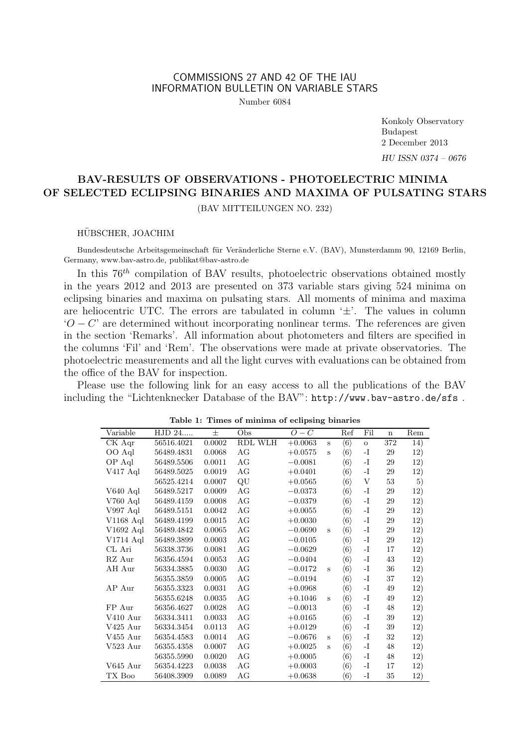### COMMISSIONS 27 AND 42 OF THE IAU INFORMATION BULLETIN ON VARIABLE STARS

Number 6084

Konkoly Observatory Budapest 2 December 2013

*HU ISSN 0374 – 0676*

# **BAV-RESULTS OF OBSERVATIONS - PHOTOELECTRIC MINIMA OF SELECTED ECLIPSING BINARIES AND MAXIMA OF PULSATING STARS**

(BAV MITTEILUNGEN NO. 232)

#### HUBSCHER, JOACHIM ¨

Bundesdeutsche Arbeitsgemeinschaft für Veränderliche Sterne e.V. (BAV), Munsterdamm 90, 12169 Berlin, Germany, www.bav-astro.de, publikat@bav-astro.de

In this 76*th* compilation of BAV results, photoelectric observations obtained mostly in the years 2012 and 2013 are presented on 373 variable stars giving 524 minima on eclipsing binaries and maxima on pulsating stars. All moments of minima and maxima are heliocentric UTC. The errors are tabulated in column '*±*'. The values in column  $'O - C'$  are determined without incorporating nonlinear terms. The references are given in the section 'Remarks'. All information about photometers and filters are specified in the columns 'Fil' and 'Rem'. The observations were made at private observatories. The photoelectric measurements and all the light curves with evaluations can be obtained from the office of the BAV for inspection.

Please use the following link for an easy access to all the publications of the BAV including the "Lichtenknecker Database of the BAV": http://www.bav-astro.de/sfs .

| Variable    | HJD 24     | 士      | Obs     | $O-C$     |              | Ref                 | Fil            | $\mathbf n$ | Rem |
|-------------|------------|--------|---------|-----------|--------------|---------------------|----------------|-------------|-----|
| CK Aqr      | 56516.4021 | 0.0002 | RDL WLH | $+0.0063$ | S            | $\langle 6 \rangle$ | $\overline{O}$ | 372         | 14) |
| OO Aql      | 56489.4831 | 0.0068 | AG      | $+0.0575$ | S            | $\langle 6 \rangle$ | $-I$           | 29          | 12) |
| OP Aql      | 56489.5506 | 0.0011 | AG      | $-0.0081$ |              | $\langle 6 \rangle$ | -I             | $\,29$      | 12) |
| V417 Aql    | 56489.5025 | 0.0019 | AG      | $+0.0401$ |              | $\langle 6 \rangle$ | -I             | $\,29$      | 12) |
|             | 56525.4214 | 0.0007 | QU      | $+0.0565$ |              | $\langle 6 \rangle$ | V              | 53          | 5)  |
| V640 Aql    | 56489.5217 | 0.0009 | AG      | $-0.0373$ |              | $\langle 6 \rangle$ | -I             | 29          | 12) |
| V760 Aql    | 56489.4159 | 0.0008 | AG      | $-0.0379$ |              | $\langle 6 \rangle$ | -1             | 29          | 12) |
| V997 Aql    | 56489.5151 | 0.0042 | AG      | $+0.0055$ |              | $\langle 6 \rangle$ | -I             | 29          | 12) |
| $V1168$ Aql | 56489.4199 | 0.0015 | AG      | $+0.0030$ |              | $\langle 6 \rangle$ | -I             | $\,29$      | 12) |
| V1692 Aql   | 56489.4842 | 0.0065 | AG      | $-0.0690$ | S            | $\langle 6 \rangle$ | -I             | 29          | 12) |
| V1714 Aql   | 56489.3899 | 0.0003 | AG      | $-0.0105$ |              | $\langle 6 \rangle$ | -I             | 29          | 12) |
| CL Ari      | 56338.3736 | 0.0081 | AG      | $-0.0629$ |              | $\langle 6 \rangle$ | -I             | 17          | 12) |
| RZ Aur      | 56356.4594 | 0.0053 | AG      | $-0.0404$ |              | $\langle 6 \rangle$ | -1             | 43          | 12) |
| AH Aur      | 56334.3885 | 0.0030 | AG      | $-0.0172$ | S            | $\langle 6 \rangle$ | -1             | 36          | 12) |
|             | 56355.3859 | 0.0005 | AG      | $-0.0194$ |              | $\langle 6 \rangle$ | -I             | 37          | 12) |
| AP Aur      | 56355.3323 | 0.0031 | AG      | $+0.0968$ |              | $\langle 6 \rangle$ | -1             | 49          | 12) |
|             | 56355.6248 | 0.0035 | AG      | $+0.1046$ | $\mathbf{s}$ | $\langle 6 \rangle$ | -I             | 49          | 12) |
| FP Aur      | 56356.4627 | 0.0028 | AG      | $-0.0013$ |              | $\langle 6 \rangle$ | -1             | 48          | 12) |
| V410 Aur    | 56334.3411 | 0.0033 | AG      | $+0.0165$ |              | $\langle 6 \rangle$ | -1             | 39          | 12) |
| V425 Aur    | 56334.3454 | 0.0113 | AG      | $+0.0129$ |              | $\langle 6 \rangle$ | -I             | 39          | 12) |
| V455 Aur    | 56354.4583 | 0.0014 | AG      | $-0.0676$ | S            | $\langle 6 \rangle$ | -I             | 32          | 12) |
| $V523$ Aur  | 56355.4358 | 0.0007 | AG      | $+0.0025$ | S            | $\langle 6 \rangle$ | -I             | 48          | 12) |
|             | 56355.5990 | 0.0020 | AG      | $+0.0005$ |              | $\langle 6 \rangle$ | -1             | 48          | 12) |
| V645 Aur    | 56354.4223 | 0.0038 | AG      | $+0.0003$ |              | $\langle 6 \rangle$ | -I             | 17          | 12) |
| TX Boo      | 56408.3909 | 0.0089 | AG      | $+0.0638$ |              | $\langle 6 \rangle$ | -I             | 35          | 12) |
|             |            |        |         |           |              |                     |                |             |     |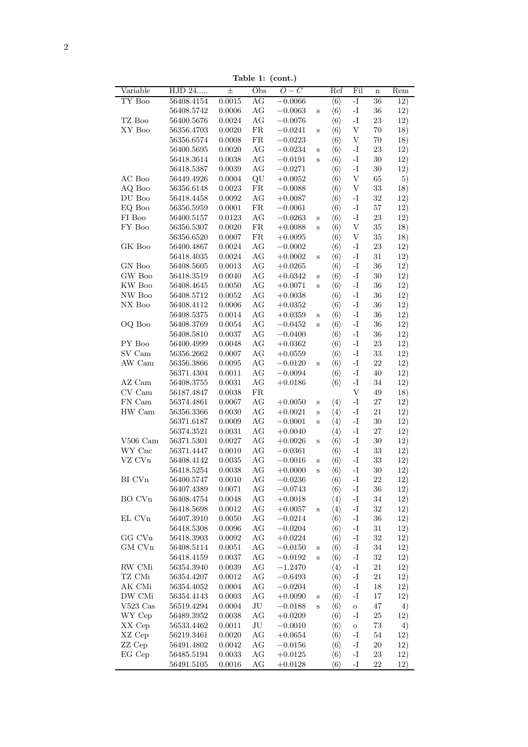Table 1: (cont.)

| Variable                        | HJD 24     | rapie 1. (com.)<br>$\pm$ | Obs        | $O-C$     |              | Ref                 | Fil                       |                                | Rem |
|---------------------------------|------------|--------------------------|------------|-----------|--------------|---------------------|---------------------------|--------------------------------|-----|
| TY Boo                          | 56408.4154 | 0.0015                   | AG         | $-0.0066$ |              | $\langle 6 \rangle$ | $-I$                      | $\mathbf n$<br>$\overline{36}$ | 12) |
|                                 | 56408.5742 | $0.0006\,$               | AG         | $-0.0063$ | S            | $\langle 6 \rangle$ | $\mathbf{-I}$             | $36\,$                         | 12) |
| TZ Boo                          | 56400.5676 | 0.0024                   | $\rm{AG}$  | $-0.0076$ |              | $\langle 6 \rangle$ | $\mathbf{-I}$             | $23\,$                         | 12) |
| XY Boo                          | 56356.4703 | 0.0020                   | ${\rm FR}$ |           |              |                     | $\ensuremath{\mathbf{V}}$ |                                |     |
|                                 |            |                          |            | $-0.0241$ | $\rm S$      | $\langle 6 \rangle$ |                           | 70                             | 18) |
|                                 | 56356.6574 | 0.0008                   | ${\rm FR}$ | $-0.0223$ |              | $\langle 6 \rangle$ | $\ensuremath{\mathbf{V}}$ | 70                             | 18) |
|                                 | 56400.5695 | 0.0020                   | $\rm{AG}$  | $-0.0234$ | S            | $\langle 6 \rangle$ | $\mathbf{-I}$             | $23\,$                         | 12) |
|                                 | 56418.3614 | $\,0.0038\,$             | $\rm{AG}$  | $-0.0191$ | $\, {\bf S}$ | $\langle 6 \rangle$ | $\mathbf{I}$              | $30\,$                         | 12) |
|                                 | 56418.5387 | 0.0039                   | $\rm{AG}$  | $-0.0271$ |              | $\langle 6 \rangle$ | $\mathbf{-I}$             | $30\,$                         | 12) |
| $\rm AC$ Boo                    | 56449.4926 | 0.0004                   | $\rm QU$   | $+0.0052$ |              | $\langle 6 \rangle$ | $\ensuremath{\mathbf{V}}$ | 65                             | 5)  |
| AQ Boo                          | 56356.6148 | $\,0.0023\,$             | ${\rm FR}$ | $-0.0088$ |              | $\langle 6 \rangle$ | $\ensuremath{\mathbf{V}}$ | $33\,$                         | 18) |
| DU Boo                          | 56418.4458 | 0.0092                   | AG         | $+0.0087$ |              | $\langle 6 \rangle$ | $\mathbf{-I}$             | 32                             | 12) |
| EQ Boo                          | 56356.5959 | 0.0001                   | ${\rm FR}$ | $-0.0061$ |              | $\langle 6 \rangle$ | $\mathbf{-I}$             | $57\,$                         | 12) |
| ${\rm FI}$ Boo                  | 56400.5157 | 0.0123                   | $\rm{AG}$  | $-0.0263$ | $\mathbf S$  | $\langle 6 \rangle$ | $\mathbf{I}$              | 23                             | 12) |
| FY Boo                          | 56356.5307 | 0.0020                   | ${\rm FR}$ | $+0.0088$ | $\rm S$      | $\langle 6 \rangle$ | $\ensuremath{\mathbf{V}}$ | $35\,$                         | 18) |
|                                 | 56356.6520 | 0.0007                   | ${\rm FR}$ | $+0.0095$ |              | $\langle 6 \rangle$ | V                         | $35\,$                         | 18) |
| GK Boo                          | 56400.4867 | 0.0024                   | AG         | $-0.0002$ |              | $\langle 6 \rangle$ | $-I$                      | $23\,$                         | 12) |
|                                 | 56418.4035 | 0.0024                   | AG         | $+0.0002$ | S            | $\langle 6 \rangle$ | $\mathbf{-I}$             | 31                             | 12) |
| GN Boo                          | 56408.5605 | 0.0013                   | AG         | $+0.0265$ |              | $\langle 6 \rangle$ | $\mathbf{-I}$             | $36\,$                         | 12) |
| $\ensuremath{\mathrm{GW}}$ Boo  | 56418.3519 | 0.0040                   | $\rm{AG}$  | $+0.0342$ | $\rm S$      | $\langle 6 \rangle$ | $\mathbf{I}$              | $30\,$                         | 12) |
| KW Boo                          | 56408.4645 | 0.0050                   | $\rm{AG}$  | $+0.0071$ | $\, {\bf S}$ | $\langle 6 \rangle$ | $\mathbf{-I}$             | 36                             | 12) |
| NW Boo                          | 56408.5712 | $\,0.0052\,$             | AG         | $+0.0038$ |              | $\langle 6 \rangle$ | $\mathbf{-I}$             | $36\,$                         | 12) |
| $NX$ Boo                        | 56408.4112 | 0.0006                   | AG         | $+0.0352$ |              | $\langle 6 \rangle$ | $\mathbf{-I}$             | $36\,$                         | 12) |
|                                 | 56408.5375 | 0.0014                   | AG         | $+0.0359$ | S            | $\langle 6 \rangle$ | $-I$                      | 36                             | 12) |
| OQ Boo                          | 56408.3769 | 0.0054                   | AG         | $-0.0452$ | $\mathbf S$  | $\langle 6 \rangle$ | $\mathbf{I}$              | $36\,$                         | 12) |
|                                 | 56408.5810 | 0.0037                   | $\rm{AG}$  |           |              | $\langle 6 \rangle$ | $\mathbf{-I}$             | $36\,$                         | 12) |
| PY Boo                          |            |                          |            | $-0.0400$ |              |                     | $\mathbf{I}$              |                                |     |
|                                 | 56400.4999 | 0.0048                   | AG         | $+0.0362$ |              | $\langle 6 \rangle$ |                           | 23                             | 12) |
| SV Cam                          | 56356.2662 | 0.0007                   | AG         | $+0.0559$ |              | $\langle 6 \rangle$ | $\mathbf{I}$              | $33\,$                         | 12) |
| AW Cam                          | 56356.3866 | 0.0095                   | AG         | $-0.0120$ | $\mathbf S$  | $\langle 6 \rangle$ | $\mathbf{-I}$             | $22\,$                         | 12) |
|                                 | 56371.4304 | 0.0011                   | AG         | $-0.0094$ |              | $\langle 6 \rangle$ | $\mathbf{-I}$             | 40                             | 12) |
| AZ Cam                          | 56408.3755 | 0.0031                   | $\rm{AG}$  | $+0.0186$ |              | $\langle 6 \rangle$ | $\mathbf{I}$ .            | 34                             | 12) |
| $\mathrm{CV}\, \, \mathrm{Cam}$ | 56187.4847 | 0.0038                   | ${\rm FR}$ |           |              |                     | $\ensuremath{\mathbf{V}}$ | $49\,$                         | 18) |
| ${\rm FN}$ ${\rm Cam}$          | 56374.4861 | 0.0067                   | AG         | $+0.0050$ | $\mathbf S$  | $\langle 4 \rangle$ | $\mathbf{-I}$             | $27\,$                         | 12) |
| HW Cam                          | 56356.3366 | 0.0030                   | $\rm{AG}$  | $+0.0021$ | $\mathbf S$  | $\langle 4 \rangle$ | $\mathbf{-I}$             | $21\,$                         | 12) |
|                                 | 56371.6187 | 0.0009                   | AG         | $-0.0001$ | $\mathbf S$  | $\langle 4 \rangle$ | $\mathbf{-I}$             | $30\,$                         | 12) |
|                                 | 56374.3521 | 0.0031                   | AG         | $+0.0040$ |              | $\langle 4\rangle$  | $\mathbf{-I}$             | $27\,$                         | 12) |
| $V506$ Cam                      | 56371.5301 | 0.0027                   | $\rm{AG}$  | $+0.0026$ | $\mathbf S$  | $\langle 6 \rangle$ | $\mathbf{I}$              | $30\,$                         | 12) |
| WY Cnc                          | 56371.4447 | 0.0010                   | AG         | $-0.0361$ |              | $\langle 6 \rangle$ | $\mathbf{I}$              | $33\,$                         | 12) |
| VZ CVn                          | 56408.4142 | $\,0.0035\,$             | AG         | $-0.0016$ | $\mathbf S$  | $\langle 6 \rangle$ | $\mathbf{I}$              | $33\,$                         | 12) |
|                                 | 56418.5254 | 0.0038                   | AG         | $+0.0000$ | S            | $\langle 6 \rangle$ | $\mathbf{I}$              | $30\,$                         | 12) |
| BI CV <sub>n</sub>              | 56400.5747 | 0.0010                   | AG         | $-0.0236$ |              | $\langle 6 \rangle$ | $-I$                      | 22                             | 12) |
|                                 | 56407.4389 | 0.0071                   | AG         | $-0.0743$ |              | $\langle 6 \rangle$ | $\mathbf{I}$ .            | $36\,$                         | 12) |
| $\rm BO~CVn$                    | 56408.4754 | 0.0048                   | AG         | $+0.0018$ |              | $\langle 4 \rangle$ | $\mathbf{I}$              | $34\,$                         | 12) |
|                                 | 56418.5698 | 0.0012                   | AG         | $+0.0057$ | $\mathbf S$  | $\langle 4 \rangle$ | $\mathbf{I}$              | $32\,$                         | 12) |
| EL CVn                          | 56407.3910 | 0.0050                   | AG         | $-0.0214$ |              | $\langle 6 \rangle$ | $-I$                      | 36                             | 12) |
|                                 | 56418.5308 | 0.0096                   | AG         | $-0.0204$ |              | $\langle 6 \rangle$ | $\mathbf{-I}$             | 31                             | 12) |
| GG CVn                          | 56418.3903 | 0.0092                   | AG         | $+0.0224$ |              | $\langle 6 \rangle$ | $\mathbf{-I}$             | 32                             | 12) |
| GM CVn                          |            |                          | AG         | $-0.0150$ |              |                     | $\mathbf{I}$              | $34\,$                         |     |
|                                 | 56408.5114 | 0.0051                   |            |           | S            | $\langle 6 \rangle$ |                           |                                | 12) |
|                                 | 56418.4159 | $\,0.0037\,$             | AG         | $-0.0192$ | $\, {\bf S}$ | $\langle 6 \rangle$ | $\mathbf{I}$              | $32\,$                         | 12) |
| RW CMi                          | 56354.3940 | 0.0039                   | AG         | $-1.2470$ |              | $\langle 4 \rangle$ | $\mathbf{I}$              | $21\,$                         | 12) |
| TZ CMi                          | 56354.4207 | 0.0012                   | AG         | $-0.6493$ |              | $\langle 6 \rangle$ | $\mathbf{I}$              | 21                             | 12) |
| AK CMi                          | 56354.4052 | $0.0004\,$               | AG         | $-0.0204$ |              | $\langle 6 \rangle$ | $-I$                      | 18                             | 12) |
| DW CMi                          | 56354.4143 | 0.0003                   | AG         | $+0.0090$ | S            | $\langle 6 \rangle$ | $\mathbf{I}$              | 17                             | 12) |
| $V523$ Cas                      | 56519.4294 | 0.0004                   | $\rm{J}U$  | $-0.0188$ | S            | $\langle 6 \rangle$ | $\mathbf O$               | 47                             | 4)  |
|                                 | 56489.3952 | 0.0038                   | AG         | $+0.0209$ |              | $\langle 6 \rangle$ | $-I$                      | $25\,$                         | 12) |
| WY Cep                          | 56533.4462 | 0.0011                   | $\rm{J}U$  | $-0.0010$ |              | $\langle 6 \rangle$ | $\mathbf O$               | $73\,$                         | 4)  |
| XX Cep                          |            |                          |            |           |              | $\langle 6 \rangle$ | $-I$                      | 54                             | 12) |
| XZ Cep                          | 56219.3461 | 0.0020                   | AG         | $+0.0654$ |              |                     |                           |                                |     |
| ZZ Cep                          | 56491.4802 | 0.0042                   | AG         | $-0.0156$ |              | $\langle 6 \rangle$ | $\mathbf{-I}$             | 20                             | 12) |
| EG Cep                          | 56485.5194 | 0.0033                   | AG         | $+0.0125$ |              | $\langle 6 \rangle$ | $\mathbf{-I}$             | 23                             | 12) |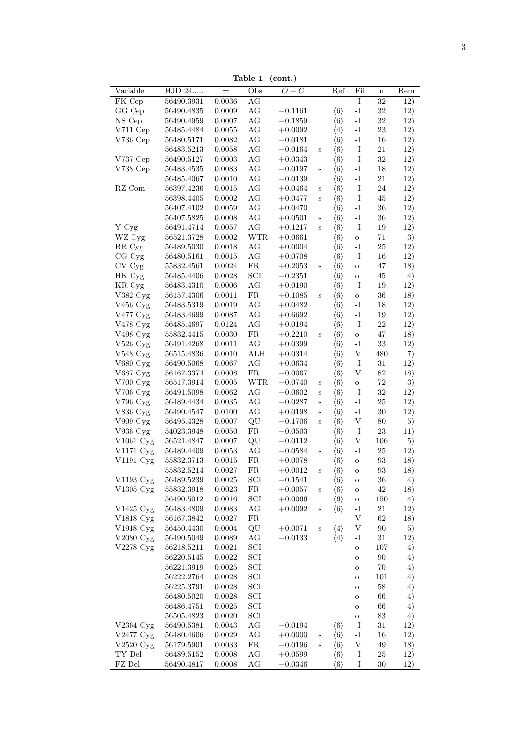| Variable               | HJD 24         | $\pm$        | Obs                         | $O-C$       |              | Ref                 | Fil                       | $\bf n$ | Rem |
|------------------------|----------------|--------------|-----------------------------|-------------|--------------|---------------------|---------------------------|---------|-----|
| FK Cep                 | 56490.3931     | 0.0036       | AG                          |             |              |                     | $\overline{-1}$           | 32      | 12) |
| GG Cep                 | 56490.4835     | 0.0009       | $\rm{AG}$                   | $-0.1161$   |              | $\langle 6 \rangle$ | $\mathbf{I}$ -            | $32\,$  | 12) |
| NS Cep                 | 56490.4959     | 0.0007       | AG                          | $-0.1859$   |              | $\langle 6 \rangle$ | $\mathbf{I}$ .            | $32\,$  | 12) |
| V711 Cep               | 56485.4484     | 0.0055       | $\rm{AG}$                   | $+0.0092$   |              | $\langle 4 \rangle$ | $\mathbf{I}$ .            | $23\,$  | 12) |
| V736 Cep               | 56480.5171     | 0.0082       | $\rm{AG}$                   | $-0.0181$   |              | $\langle 6 \rangle$ | $\mathbf{-I}$             | 16      | 12) |
|                        | 56483.5213     | $0.0058\,$   | $\rm{AG}$                   | $-0.0164$   | S            | $\langle 6 \rangle$ | $\mathbf{I}$ –            | $21\,$  | 12) |
| V737 Cep               | $56490.5127\,$ | $0.0003\,$   | AG                          | $+0.0343$   |              | $\langle 6 \rangle$ | $\mathbf{I}$ .            | $32\,$  | 12) |
| V738 Cep               | 56483.4535     | 0.0083       | AG                          | $-0.0197$   | S            | $\langle 6 \rangle$ | $\mathbf{I}$ .            | 18      | 12) |
|                        | 56485.4067     | 0.0010       | $\rm{AG}$                   | $-0.0139$   |              | $\langle 6 \rangle$ | $\mathbf{I}$ .            | $21\,$  | 12) |
| RZ Com                 | 56397.4236     | 0.0015       | AG                          | $+0.0464$   | S            | $\langle 6 \rangle$ | $\mathbf{I}$ .            | $24\,$  | 12) |
|                        | 56398.4405     | 0.0002       | AG                          | $+0.0477$   | $\, {\bf S}$ | $\langle 6 \rangle$ | $\mathbf{I}$ –            | $45\,$  | 12) |
|                        | 56407.4102     | 0.0059       | $\rm{AG}$                   | $+0.0470$   |              | $\langle 6 \rangle$ | $\mathbf{I}$ –            | $36\,$  | 12) |
|                        | 56407.5825     | 0.0008       | AG                          | $+0.0501$   | $\mathbf S$  | $\langle 6 \rangle$ | $\mathbf{I}$ .            | 36      | 12) |
| Y Cyg                  | 56491.4714     | 0.0057       | AG                          | $+0.1217$   | S            | $\langle 6 \rangle$ | $\mathbf{I}$ .            | 19      | 12) |
| WZ Cyg                 | 56521.3728     | $0.0002\,$   | <b>WTR</b>                  | $+0.0661$   |              | $\langle 6 \rangle$ | $\rm{O}$                  | $71\,$  | 3)  |
| BR Cyg                 | 56489.5030     | $0.0018\,$   | AG                          | $+0.0004$   |              | $\langle 6 \rangle$ | $\mathbf{I}$              | $25\,$  | 12) |
| CG Cyg                 | 56480.5161     | 0.0015       | AG                          | $+0.0708$   |              | $\langle 6 \rangle$ | -1                        | 16      | 12) |
| CV Cyg                 | 55832.4561     | $\,0.0024\,$ | ${\rm FR}$                  | $+0.2053$   | S            | $\langle 6 \rangle$ | $\mathbf O$               | $47\,$  | 18) |
| HK Cyg                 | $56485.4406\,$ | 0.0028       | $\ensuremath{\mathrm{SCI}}$ | $-0.2351$   |              | $\langle 6 \rangle$ | $\rm{O}$                  | $45\,$  | 4)  |
| KR Cyg                 | 56483.4310     | 0.0006       | AG                          | $+0.0190$   |              | $\langle 6 \rangle$ | $\mathbf{I}$ –            | 19      | 12) |
| V382 Cyg               | 56157.4306     | 0.0011       | ${\rm FR}$                  | $+0.1085$   | $\mathbf S$  | $\langle 6 \rangle$ | $\rm{O}$                  | $36\,$  | 18) |
| V456 Cyg               | 56483.5319     | 0.0019       | $\rm{AG}$                   | $+0.0482$   |              | $\langle 6 \rangle$ | $\mathbf{I}$              | $18\,$  | 12) |
| V477 Cyg               | 56483.4699     | 0.0087       | AG                          | $+0.6692$   |              | $\langle 6 \rangle$ | -1                        | 19      | 12) |
| V478 Cyg               | 56485.4697     | 0.0124       | $\rm{AG}$                   | $+0.0194$   |              | $\langle 6 \rangle$ | $\mathbf{I}$ -            | 22      | 12) |
| V498 Cyg               | 55832.4415     | 0.0030       | ${\rm FR}$                  |             |              |                     |                           | $47\,$  |     |
|                        |                |              |                             | $+0.2210$   | S            | $\langle 6 \rangle$ | $\rm{O}$                  |         | 18) |
| V526 Cyg               | 56491.4268     | 0.0011       | AG                          | $+0.0399$   |              | $\langle 6 \rangle$ | $\mathbf{-I}$             | $33\,$  | 12) |
| V548 Cyg               | 56515.4836     | 0.0010       | $\rm ALH$                   | $+0.0314$   |              | $\langle 6 \rangle$ | $\ensuremath{\mathbf{V}}$ | 480     | 7)  |
| V680 Cyg               | 56490.5068     | 0.0067       | AG                          | $+0.0634$   |              | $\langle 6 \rangle$ | -1                        | $31\,$  | 12) |
| V687 Cyg               | 56167.3374     | 0.0008       | ${\rm FR}$                  | $-0.0067$   |              | $\langle 6 \rangle$ | $\boldsymbol{\mathrm{V}}$ | $82\,$  | 18) |
| V700 Cyg               | 56517.3914     | 0.0005       | $\operatorname{WTR}$        | $-0.0740$   | S            | $\langle 6 \rangle$ | $\mathbf O$               | $72\,$  | 3)  |
| V706 Cyg               | 56491.5098     | 0.0062       | $\rm{AG}$                   | $-0.0602$   | S            | $\langle 6 \rangle$ | $\mathbf{I}$              | $32\,$  | 12) |
| V796 Cyg               | 56489.4434     | $\,0.0035\,$ | $\rm{AG}$                   | $-0.0287$   | S            | $\langle 6 \rangle$ | $\mathbf{-I}$             | $25\,$  | 12) |
| V836 Cyg               | 56490.4547     | 0.0100       | $\rm{AG}$                   | $+0.0198$   | S            | $\langle 6 \rangle$ | $\mathbf{I}$ .            | $30\,$  | 12) |
| V909 Cyg               | 56495.4328     | 0.0007       | QU                          | $-0.1706\,$ | S            | $\langle 6 \rangle$ | $\ensuremath{\mathbf{V}}$ | $80\,$  | 5)  |
| V936 Cyg               | 54023.3948     | 0.0050       | ${\rm FR}$                  | $-0.0503$   |              | $\langle 6 \rangle$ | $\mathbf{I}$ –            | 23      | 11) |
| V1061 Cyg              | 56521.4847     | 0.0007       | $\rm QU$                    | $-0.0112$   |              | $\langle 6 \rangle$ | $\ensuremath{\mathbf{V}}$ | $106\,$ | 5)  |
| V1171 Cyg              | 56489.4409     | 0.0053       | $\rm{AG}$                   | $-0.0584$   | S            | $\langle 6 \rangle$ | $\mathbf{I}$ .            | $25\,$  | 12) |
| V1191 Cyg              | 55832.3713     | 0.0015       | ${\rm FR}$                  | $+0.0078$   |              | $\langle 6 \rangle$ | $\rm{O}$                  | 93      | 18) |
|                        | 55832.5214     | 0.0027       | ${\rm FR}$                  | $+0.0012$   | S            | $\langle 6 \rangle$ | $\mathbf{o}$              | 93      | 18) |
| V1193 Cyg              | 56489.5239     | 0.0025       | SCI                         | $-0.1541$   |              | $\langle 6 \rangle$ | $\rm{O}$                  | 36      | 4)  |
| V1305 Cyg              | 55832.3918     | 0.0023       | FR                          | $+0.0057$   | S            | $\langle 6 \rangle$ | $\rm{O}$                  | $42\,$  | 18) |
|                        | 56490.5012     | 0.0016       | SCI                         | $+0.0066$   |              | $\langle 6 \rangle$ | $\rm{O}$                  | 150     | 4)  |
| $V1425 \,\mathrm{Cyg}$ | 56483.4809     | 0.0083       | AG                          | $+0.0092$   | S            | $\langle 6 \rangle$ | -1                        | $21\,$  | 12) |
| V1818 Cyg              | 56167.3842     | 0.0027       | FR                          |             |              |                     | V                         | 62      | 18) |
| V1918 Cyg              | 56450.4430     | 0.0004       | QU                          | $+0.0071$   | S            | $\langle 4 \rangle$ | V                         | 90      | 5)  |
| V2080 Cyg              | 56490.5049     | 0.0089       | AG                          | $-0.0133$   |              | $\langle 4 \rangle$ | -1                        | 31      | 12) |
| V2278 Cyg              | 56218.5211     | 0.0021       | $\ensuremath{\mathrm{SCI}}$ |             |              |                     | $\rm{O}$                  | 107     | 4)  |
|                        | 56220.5145     | 0.0022       | $\ensuremath{\mathrm{SCI}}$ |             |              |                     |                           | 90      | 4)  |
|                        |                |              |                             |             |              |                     | $\rm{O}$                  |         |     |
|                        | 56221.3919     | 0.0025       | $\ensuremath{\mathrm{SCI}}$ |             |              |                     | $\rm{O}$                  | 70      | 4)  |
|                        | 56222.2764     | 0.0028       | $\ensuremath{\mathrm{SCI}}$ |             |              |                     | $\rm{O}$                  | $101\,$ | 4)  |
|                        | 56225.3791     | 0.0028       | $\ensuremath{\mathrm{SCI}}$ |             |              |                     | $\rm{O}$                  | 58      | 4)  |
|                        | 56480.5020     | 0.0028       | $\ensuremath{\mathrm{SCI}}$ |             |              |                     | $\rm{O}$                  | 66      | 4)  |
|                        | 56486.4751     | 0.0025       | SCI                         |             |              |                     | $\rm{O}$                  | 66      | 4)  |
|                        | 56505.4823     | 0.0020       | SCI                         |             |              |                     | $\rm{O}$                  | 83      | 4)  |
| $V2364$ Cyg            | 56490.5381     | 0.0043       | AG                          | $-0.0194$   |              | $\langle 6 \rangle$ | -1                        | $31\,$  | 12) |
| V2477 Cyg              | 56480.4606     | 0.0029       | AG                          | $+0.0000$   | S            | $\langle 6 \rangle$ | $\mathbf{-I}$             | 16      | 12) |
| $V2520 \mathrm{Cyg}$   | 56179.5901     | 0.0033       | ${\rm FR}$                  | $-0.0196$   | $\mathbf S$  | $\langle 6 \rangle$ | $\ensuremath{\mathbf{V}}$ | 49      | 18) |
| TY Del                 | 56489.5152     | 0.0008       | AG                          | $+0.0599$   |              | $\langle 6 \rangle$ | -I                        | $25\,$  | 12) |
| ${\rm FZ}$ Del         | 56490.4817     |              | AG                          |             |              |                     | -I                        | $30\,$  | 12) |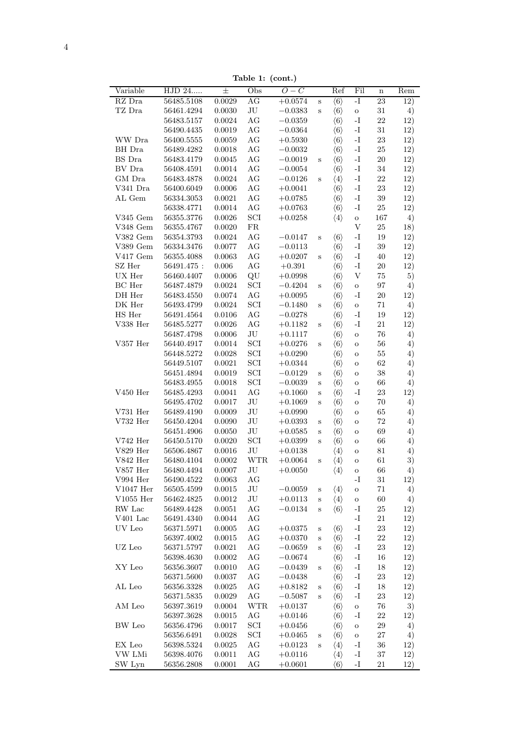Table 1: (cont.)

| Variable         | HJD 24                   | $\pm$            | rapie $\mathbf{r}$ . (com.)<br>Obs | $O-C$                  |              | Ref                                        | Fil                            | $\mathbf n$ | Rem              |
|------------------|--------------------------|------------------|------------------------------------|------------------------|--------------|--------------------------------------------|--------------------------------|-------------|------------------|
| RZ Dra           | 56485.5108               | 0.0029           | AG                                 | $+\overline{0.0574}$   | $\, {\bf S}$ | $\langle 6 \rangle$                        | $\mathbf{I}$                   | 23          | $\overline{12})$ |
| TZ Dra           | 56461.4294               | $0.0030\,$       | $\rm{JU}$                          | $-0.0383$              | $\rm S$      | $\langle 6 \rangle$                        | $\rm{O}$                       | $31\,$      | 4)               |
|                  | 56483.5157               | $0.0024\,$       | $\rm{AG}$                          | $-0.0359$              |              | $\langle 6 \rangle$                        | $\mathbf{I}$ –                 | $22\,$      | 12)              |
|                  | 56490.4435               | 0.0019           | $\rm{AG}$                          | $-0.0364$              |              | $\langle 6 \rangle$                        | $\mathbf{I}$ .                 | $31\,$      | 12)              |
| WW Dra           | 56400.5555               | 0.0059           | AG                                 | $+0.5930$              |              | $\langle 6 \rangle$                        | $\mathbf{I}$ .                 | $23\,$      | 12)              |
| BH Dra           | 56489.4282               | 0.0018           | $\rm{AG}$                          | $-0.0032$              |              | $\langle 6 \rangle$                        | $\mathbf{I}$ –                 | $25\,$      | 12)              |
| ${\rm BS}$ Dra   | $56483.4179\,$           | $\,0.0045\,$     | $\rm{AG}$                          | $-0.0019$              | $\, {\bf S}$ | $\langle 6 \rangle$                        | $\mathbf{I}$ –                 | $20\,$      | 12)              |
| $\rm BV~Dra$     | 56408.4591               | $0.0014\,$       | $\rm{AG}$                          | $-0.0054$              |              | $\langle 6 \rangle$                        | $\mathbf{I}$ –                 | $34\,$      | 12)              |
| GM Dra           | 56483.4878               | 0.0024           | $\rm{AG}$                          | $-0.0126$              | $\, {\bf S}$ | $\langle 4 \rangle$                        | $\mathbf{I}$ –                 | $22\,$      | 12)              |
| V341 Dra         | 56400.6049               | $0.0006\,$       | $\rm{AG}$                          | $+0.0041$              |              | $\langle 6 \rangle$                        | $\mathbf{I}$ .                 | $23\,$      | 12)              |
| AL Gem           | 56334.3053               | $\,0.0021\,$     | AG                                 | $+0.0785$              |              | $\langle 6 \rangle$                        | $\mathbf{I}$ .                 | $39\,$      | 12)              |
|                  | 56338.4771               | $0.0014\,$       | $\rm{AG}$                          | $+0.0763$              |              | $\langle 6 \rangle$                        | $\mathbf{I}$ .                 | $25\,$      | 12)              |
| V345 Gem         | 56355.3776               | $0.0026\,$       | $\ensuremath{\mathrm{SCI}}$        | $+0.0258$              |              | $\langle 4 \rangle$                        | $\rm{O}$                       | 167         | 4)               |
| V348 Gem         | 56355.4767               | 0.0020           | ${\rm FR}$                         |                        |              |                                            | $\ensuremath{\mathbf{V}}$      | $25\,$      | 18)              |
| $V382$ Gem       | 56354.3793               | 0.0024           | $\rm{AG}$                          | $-0.0147$              | $\, {\bf S}$ | $\langle 6 \rangle$                        | $\mathbf{I}$ .                 | $19\,$      | 12)              |
| $V389$ Gem       | 56334.3476               | $0.0077\,$       | AG                                 | $-0.0113$              |              | $\langle 6 \rangle$                        | $\mathbf{I}$ .                 | $39\,$      | 12)              |
| $V417$ Gem       | 56355.4088               | 0.0063           | $\rm{AG}$                          | $+0.0207$              | $\rm S$      | $\langle 6 \rangle$                        | $\mathbf{I}$ .                 | $40\,$      | 12)              |
| SZ Her           | $56491.475$ :            | $0.006\,$        | $\rm{AG}$                          | $+0.391\,$             |              | $\langle 6 \rangle$                        | $\mathbf{I}$ –                 | $20\,$      | 12)              |
| ${\rm UX\ Her}$  | 56460.4407               | $0.0006\,$       | $\rm QU$                           | $+0.0998$              |              | $\langle 6 \rangle$                        | $\mathbf{V}$                   | $75\,$      | 5)               |
| BC Her           | 56487.4879               | 0.0024           | $\ensuremath{\mathrm{SCI}}$        | $-0.4204$              | $\rm S$      | $\langle 6 \rangle$                        | $\rm{O}$                       | $\rm 97$    | 4)               |
| DH Her           | 56483.4550               | 0.0074           | $\rm{AG}$                          | $+0.0095$              |              | $\langle 6 \rangle$                        | $\mathbf{I}$ .                 | $20\,$      | 12)              |
| $\rm DK\ Her$    | 56493.4799               | $0.0024\,$       | $\ensuremath{\mathrm{SCI}}$        | $-0.1480$              | $\, {\bf S}$ | $\langle 6 \rangle$                        | $\mathbf{o}$                   | $71\,$      | 4)               |
| HS Her           |                          | $0.0106\,$       | $\rm{AG}$                          |                        |              |                                            | $\mathbf{-I}$                  | $19\,$      | 12)              |
| V338 Her         | 56491.4564               | $0.0026\,$       | $\rm{AG}$                          | $-0.0278$              |              | $\langle 6 \rangle$                        | $\mathbf{I}$ .                 | $21\,$      | 12)              |
|                  | 56485.5277               |                  |                                    | $+0.1182$              | $\rm S$      | $\langle 6 \rangle$                        |                                |             |                  |
|                  | 56487.4798               | 0.0006           | $\rm{JU}$                          | $+0.1117$              |              | $\langle 6 \rangle$                        | $\mathbf{o}$                   | $76\,$      | 4)               |
| $\rm V357~Her$   | 56440.4917               | 0.0014           | $\operatorname{SCI}$               | $+0.0276$              | $\, {\bf S}$ | $\langle 6 \rangle$                        | $\mathbf O$                    | $56\,$      | 4)               |
|                  | 56448.5272               | 0.0028           | $\ensuremath{\mathrm{SCI}}$        | $+0.0290$              |              | $\langle 6 \rangle$                        | $\mathbf O$                    | $55\,$      | 4)               |
|                  | 56449.5107               | $\,0.0021\,$     | $\ensuremath{\mathrm{SCI}}$        | $+0.0344$              |              | $\langle 6 \rangle$                        | $\mathbf O$                    | $62\,$      | 4)               |
|                  | 56451.4894               | 0.0019           | $\ensuremath{\mathrm{SCI}}$        | $-0.0129$              | $\, {\bf S}$ | $\langle 6 \rangle$                        | $\mathbf O$                    | $38\,$      | 4)               |
|                  | 56483.4955               | 0.0018           | $\ensuremath{\mathrm{SCI}}$        | $-0.0039$              | $\, {\bf S}$ | $\langle 6 \rangle$                        | $\mathbf O$                    | $66\,$      | 4)               |
| $\rm V450~Her$   | 56485.4293               | 0.0041           | $\rm{AG}$                          | $+0.1060$              | $\, {\bf S}$ | $\langle 6 \rangle$                        | $\mathbf{I}$                   | $23\,$      | 12)              |
|                  | 56495.4702               | 0.0017           | $\rm{J}U$                          | $+0.1069$              | $\rm S$      | $\langle 6 \rangle$                        | $\mathbf O$                    | $70\,$      | 4)               |
| $\rm V731~Her$   | 56489.4190               | 0.0009           | $\rm{J}U$                          | $+0.0990$              |              | $\langle 6 \rangle$                        | $\mathbf O$                    | $65\,$      | 4)               |
| $V732$ Her       | $56450.4204\,$           | 0.0090           | $\rm{J}U$                          | $+0.0393$              | $\rm S$      | $\langle 6 \rangle$                        | $\mathbf O$                    | $72\,$      | 4)               |
|                  | 56451.4906               | $0.0050\,$       | $\rm{J}U$                          | $+0.0585$              | $\rm S$      | $\langle 6 \rangle$                        | $\rm{O}$                       | $69\,$      | 4)               |
| $\rm V742~Her$   | 56450.5170               | 0.0020           | $\ensuremath{\mathrm{SCI}}$        | $+0.0399$              | $\, {\bf S}$ | $\langle 6 \rangle$                        | $\rm{O}$                       | $66\,$      | 4)               |
| V829 Her         | 56506.4867               | 0.0016           | $\rm{J}U$                          | $+0.0138$              |              | $\langle 4 \rangle$                        | $\mathbf O$                    | $81\,$      | 4)               |
| V842 Her         | 56480.4104               | $0.0002\,$       | <b>WTR</b>                         | $+0.0064$              | $\, {\bf S}$ | $\langle 4 \rangle$                        | $\mathbf O$                    | 61          | 3)               |
| $V857$ Her       | 56480.4494               | 0.0007           | $\rm{J}U$                          | $+0.0050$              |              | $\langle 4 \rangle$                        | $\rm{O}$                       | 66          | 4)               |
| V994 Her         | 56490.4522               | 0.0063           | AG                                 |                        |              |                                            | -1                             | 31          | 12)              |
| $V1047$ Her      | 56505.4599               | 0.0015           | $\rm JU$                           | $-0.0059$              | $\mathbf S$  | $\langle 4 \rangle$                        | $\rm{O}$                       | 71          | 4)               |
| V1055 Her        | 56462.4825               | $0.0012\,$       | $\rm{J}U$                          | $+0.0113$              | $\rm S$      | $\langle 4 \rangle$                        | $\mathbf O$                    | $60\,$      | 4)               |
| RW Lac           | 56489.4428               | 0.0051           | AG                                 | $-0.0134$              | S            | $\langle 6 \rangle$                        | $\mathbf{-I}$                  | $25\,$      | 12)              |
| $V401$ Lac       | 56491.4340               | $\,0.0044\,$     | AG                                 |                        |              |                                            | $\mathbf{I}$                   | $21\,$      | 12)              |
| UV Leo           | 56371.5971               | 0.0005           | AG                                 | $+0.0375$              | S            | $\langle 6 \rangle$                        | $\mathbf{-I}$                  | $23\,$      | 12)              |
|                  | 56397.4002               | $0.0015\,$       | AG                                 | $+0.0370$              | $\mathbf S$  | $\langle 6 \rangle$                        | $\mathbf{-I}$                  | $22\,$      | 12)              |
| UZ Leo           | 56371.5797               | 0.0021           | AG                                 | $-0.0659$              | S            | $\langle 6 \rangle$                        | $\mathbf{I}$ .                 | $23\,$      | 12)              |
|                  | 56398.4630               | $0.0002\,$       | $\rm{AG}$                          | $-0.0674$              |              | $\langle 6 \rangle$                        | $\mathbf{I}$ .                 | $16\,$      | 12)              |
| XY Leo           | 56356.3607               | 0.0010           | AG                                 | $-0.0439$              | $\mathbf S$  | $\langle 6 \rangle$                        | $\mathbf{I}$ .                 | 18          | 12)              |
|                  | 56371.5600               | $0.0037\,$       | AG                                 | $-0.0438$              |              | $\langle 6 \rangle$                        | $\mathbf{I}$ .                 | $23\,$      | 12)              |
| AL Leo           | 56356.3328               | $0.0025\,$       | AG                                 | $+0.8182$              | $\mathbf S$  | $\langle 6 \rangle$                        | $\mathbf{-I}$                  | 18          | 12)              |
|                  | 56371.5835               | 0.0029           | AG                                 | $-0.5087$              | $\, {\bf S}$ | $\langle 6 \rangle$                        | $-I$                           | $23\,$      | 12)              |
| AM Leo           | 56397.3619               | 0.0004           | <b>WTR</b>                         | $+0.0137$              |              | $\langle 6 \rangle$                        | $\mathbf O$                    | $76\,$      | 3)               |
|                  | 56397.3628               | 0.0015           | AG                                 | $+0.0146$              |              | $\langle 6 \rangle$                        | $\mathbf{-I}$                  | $22\,$      | 12)              |
| BW Leo           | 56356.4796               | 0.0017           | SCI                                | $+0.0456$              |              | $\langle 6 \rangle$                        | $\mathbf O$                    | $\rm 29$    | 4)               |
|                  | 56356.6491               | 0.0028           | $\ensuremath{\mathrm{SCI}}$        | $+0.0465$              | $\bf S$      | $\langle 6 \rangle$                        | $\mathbf O$                    | 27          | 4)               |
|                  |                          |                  |                                    |                        |              |                                            |                                |             |                  |
|                  |                          |                  |                                    |                        |              |                                            |                                |             |                  |
| EX Leo<br>VW LMi | 56398.5324<br>56398.4076 | 0.0025<br>0.0011 | AG<br>AG                           | $+0.0123$<br>$+0.0116$ | S            | $\langle 4 \rangle$<br>$\langle 4 \rangle$ | $\mathbf{-I}$<br>$\mathbf{-I}$ | 36<br>37    | 12)<br>12)       |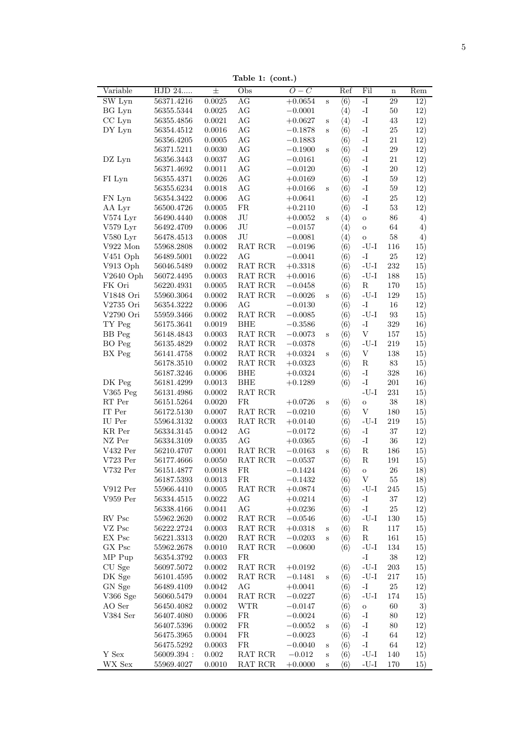Table 1: (cont.)

| HJD 24<br>$\pm$<br>$O-C$<br>Variable<br>Obs<br>SW Lyn<br>56371.4216<br>0.0025<br>AG<br>$+0.0654$<br>BG Lyn<br>$\rm{AG}$<br>56355.5344<br>0.0025<br>$-0.0001$<br>CC Lyn<br>AG<br>0.0021<br>56355.4856<br>$+0.0627$<br>$\rm{AG}$<br>DY Lyn<br>0.0016<br>56354.4512<br>$-0.1878$<br>$\rm{AG}$<br>0.0005<br>56356.4205<br>$-0.1883$<br>$\rm{AG}$<br>0.0030<br>56371.5211<br>$-0.1900$<br>$\rm{AG}$<br>DZ Lyn<br>56356.3443<br>$\,0.0037\,$<br>$-0.0161$<br>$\rm{AG}$<br>56371.4692<br>0.0011<br>$-0.0120$<br>$\rm{AG}$<br>FI Lyn<br>0.0026<br>56355.4371<br>$+0.0169$<br>AG<br>56355.6234<br>0.0018<br>$+0.0166$<br>AG<br>FN Lyn<br>56354.3422<br>0.0006<br>$+0.0641$<br>${\rm FR}$<br>AA Lyr<br>56500.4726<br>$0.0005\,$<br>$+0.2110$<br>V574 Lyr<br>$\rm{J}U$<br>0.0008<br>56490.4440<br>$+0.0052$<br>$\rm{J}U$<br>V579 Lyr<br>0.0006<br>56492.4709<br>$-0.0157$<br>$\rm{J}U$<br>V580 Lyr<br>0.0008<br>56478.4513<br>$-0.0081$<br>V922 Mon<br>55968.2808<br>$0.0002\,$<br>RAT RCR<br>$-0.0196$<br>$\rm{AG}$<br>V451 Oph<br>0.0022<br>56489.5001<br>$-0.0041$<br>$\operatorname{RAT}$ $\operatorname{RCR}$<br>V913 Oph<br>$56046.5489\,$<br>$0.0002\,$<br>$+0.3318$<br>$\operatorname{RAT}$ $\operatorname{RCR}$<br>$V2640$ Oph<br>56072.4495<br>$\,0.0003\,$<br>$+0.0016$<br>FK Ori<br>$\operatorname{RAT}$ $\operatorname{RCR}$<br>56220.4931<br>0.0005<br>$-0.0458$<br>V1848 Ori<br>55960.3064<br>0.0002<br>RAT RCR<br>$-0.0026$<br>AG<br>V2735 Ori<br>56354.3222<br>0.0006<br>$-0.0130$<br>V2790 Ori<br>$0.0002\,$<br>RAT RCR<br>55959.3466<br>$-0.0085$<br>TY Peg<br>0.0019<br><b>BHE</b><br>56175.3641<br>$-0.3586$<br>BB Peg<br>$\operatorname{RAT}$ $\operatorname{RCR}$<br>56148.4843<br>0.0003<br>$-0.0073$<br>BO Peg<br>0.0002<br>$\operatorname{RAT}$ $\operatorname{RCR}$<br>56135.4829<br>$-0.0378$<br>BX Peg<br>0.0002<br>$\operatorname{RAT}$ $\operatorname{RCR}$<br>56141.4758<br>$+0.0324$<br>56178.3510<br>$0.0002\,$<br>$\operatorname{RAT}$ $\operatorname{RCR}$<br>$+0.0323$<br>${\rm BHE}$<br>56187.3246<br>0.0006<br>$+0.0324$<br>DK Peg<br><b>BHE</b><br>56181.4299<br>$\,0.0013\,$<br>$+0.1289$<br>V365 Peg<br>56131.4986<br>$0.0002\,$<br>RAT RCR<br>$\mathop{\rm RT}$ Per<br>FR<br>0.0020<br>$+0.0726$<br>56151.5264<br>IT Per<br>0.0007<br>$\operatorname{RAT}$ $\operatorname{RCR}$<br>56172.5130<br>$-0.0210$<br>IU Per<br>55964.3132<br>0.0003<br>RAT RCR<br>$+0.0140$<br>$\rm{AG}$<br>KR Per<br>0.0042<br>56334.3145<br>$-0.0172$<br>NZ Per<br>AG<br>$\,0.0035\,$<br>56334.3109<br>$+0.0365$<br>V432 Per<br>$0.0001\,$<br>RAT RCR<br>56210.4707<br>$-0.0163$<br>$V723$ Per<br>56177.4666<br>0.0050<br>RAT RCR<br>$-0.0537$<br>V732 Per<br>56151.4877<br>0.0018<br>FR<br>$-0.1424$<br>56187.5393<br>0.0013<br>FR<br>$-0.1432$<br>$\rm V912\, \,Per$<br>$0.0005\,$<br>$\operatorname{RAT}$ $\operatorname{RCR}$<br>55966.4410<br>$+0.0874$<br>$V959$ Per<br>$56334.4515\,$<br>$0.0022\,$<br>AG<br>$+0.0214$<br>AG<br>56338.4166<br>0.0041<br>$+0.0236$<br>${\rm RV}$ ${\rm Psc}$<br>$0.0002\,$<br>RAT RCR<br>55962.2620<br>$-0.0546$<br>$VZ$ ${\rm Psc}$<br>$\operatorname{RAT}$ $\operatorname{RCR}$<br>56222.2724<br>0.0003<br>$+0.0318$ | $\, {\bf S}$<br>$\mathbf S$<br>$\, {\bf S}$<br>S<br>$\, {\bf S}$<br>$\mathbf S$<br>$\, {\bf S}$ | Ref<br>$\langle 6 \rangle$<br>$\langle 4 \rangle$<br>$\langle 4 \rangle$<br>$\langle 6 \rangle$<br>$\langle 6 \rangle$<br>$\langle 6 \rangle$<br>$\langle 6 \rangle$<br>$\langle 6 \rangle$<br>$\langle 6 \rangle$<br>$\langle 6 \rangle$<br>$\langle 6 \rangle$<br>$\langle 6 \rangle$<br>$\langle 4 \rangle$<br>$\langle 4 \rangle$<br>$\langle 4 \rangle$<br>$\langle 6 \rangle$<br>$\langle 6 \rangle$<br>$\langle 6 \rangle$<br>$\langle 6 \rangle$<br>$\langle 6 \rangle$<br>$\langle 6 \rangle$<br>$\langle 6 \rangle$<br>$\langle 6 \rangle$ | Fil<br>$\overline{\mathbf{I}}$<br>$\mathbf{I}$ .<br>$\mathbf{I}$ .<br>$\mathbf{I}-$<br>$\mathbf{I}$ –<br>$\mathbf{I}$<br>$\mathbf{I}-$<br>$\mathbf{I}$ –<br>$\mathbf{I}-$<br>$\mathbf{I}-$<br>$\mathbf{I}$<br>$\mathbf{I}$<br>$\mathbf{o}$<br>$\mathbf{o}$<br>$\mathbf O$<br>$\mbox{-}\mathrm{U}\mbox{-}\mathrm{I}$<br>$\mathbf{I}$ –<br>$\mbox{-}\mathrm{U}\mbox{-}\mathrm{I}$<br>$\mbox{-}\mathrm{U}\mbox{-}\mathrm{I}$<br>${\bf R}$<br>$\mbox{-}\mathrm{U}\mbox{-}\mathrm{I}$<br>$\mathbf{I}$ –<br>$\mbox{-}\mathrm{U}\mbox{-}\mathrm{I}$<br>$\mathbf{I}$<br>$\mathbf{V}$ | $\mathbf n$<br>29<br>$50\,$<br>43<br>$25\,$<br>21<br>$\,29$<br>$21\,$<br>$20\,$<br>$59\,$<br>59<br>$25\,$<br>$53\,$<br>86<br>64<br>58<br>116<br>$25\,$<br>232<br>188<br>170<br>129<br>16<br>93<br>329<br>157<br>219 | Rem<br>12)<br>12)<br>12)<br>12)<br>12)<br>12)<br>12)<br>12)<br>12)<br>12)<br>12)<br>12)<br>4)<br>4)<br>4)<br>15)<br>12)<br>15)<br>15)<br>15)<br>15)<br>12)<br>15)<br>16)<br>15)<br>15) |
|-------------------------------------------------------------------------------------------------------------------------------------------------------------------------------------------------------------------------------------------------------------------------------------------------------------------------------------------------------------------------------------------------------------------------------------------------------------------------------------------------------------------------------------------------------------------------------------------------------------------------------------------------------------------------------------------------------------------------------------------------------------------------------------------------------------------------------------------------------------------------------------------------------------------------------------------------------------------------------------------------------------------------------------------------------------------------------------------------------------------------------------------------------------------------------------------------------------------------------------------------------------------------------------------------------------------------------------------------------------------------------------------------------------------------------------------------------------------------------------------------------------------------------------------------------------------------------------------------------------------------------------------------------------------------------------------------------------------------------------------------------------------------------------------------------------------------------------------------------------------------------------------------------------------------------------------------------------------------------------------------------------------------------------------------------------------------------------------------------------------------------------------------------------------------------------------------------------------------------------------------------------------------------------------------------------------------------------------------------------------------------------------------------------------------------------------------------------------------------------------------------------------------------------------------------------------------------------------------------------------------------------------------------------------------------------------------------------------------------------------------------------------------------------------------------------------------------------------------------------------------------------------------------------------------------------------------------------------------------------------------------------------------------------------------------------------------------------------------------------------------------------------------------------------------|-------------------------------------------------------------------------------------------------|------------------------------------------------------------------------------------------------------------------------------------------------------------------------------------------------------------------------------------------------------------------------------------------------------------------------------------------------------------------------------------------------------------------------------------------------------------------------------------------------------------------------------------------------------|------------------------------------------------------------------------------------------------------------------------------------------------------------------------------------------------------------------------------------------------------------------------------------------------------------------------------------------------------------------------------------------------------------------------------------------------------------------------------------------------------------------------------------------------------------------------------|---------------------------------------------------------------------------------------------------------------------------------------------------------------------------------------------------------------------|----------------------------------------------------------------------------------------------------------------------------------------------------------------------------------------|
|                                                                                                                                                                                                                                                                                                                                                                                                                                                                                                                                                                                                                                                                                                                                                                                                                                                                                                                                                                                                                                                                                                                                                                                                                                                                                                                                                                                                                                                                                                                                                                                                                                                                                                                                                                                                                                                                                                                                                                                                                                                                                                                                                                                                                                                                                                                                                                                                                                                                                                                                                                                                                                                                                                                                                                                                                                                                                                                                                                                                                                                                                                                                                                         |                                                                                                 |                                                                                                                                                                                                                                                                                                                                                                                                                                                                                                                                                      |                                                                                                                                                                                                                                                                                                                                                                                                                                                                                                                                                                              |                                                                                                                                                                                                                     |                                                                                                                                                                                        |
|                                                                                                                                                                                                                                                                                                                                                                                                                                                                                                                                                                                                                                                                                                                                                                                                                                                                                                                                                                                                                                                                                                                                                                                                                                                                                                                                                                                                                                                                                                                                                                                                                                                                                                                                                                                                                                                                                                                                                                                                                                                                                                                                                                                                                                                                                                                                                                                                                                                                                                                                                                                                                                                                                                                                                                                                                                                                                                                                                                                                                                                                                                                                                                         |                                                                                                 |                                                                                                                                                                                                                                                                                                                                                                                                                                                                                                                                                      |                                                                                                                                                                                                                                                                                                                                                                                                                                                                                                                                                                              |                                                                                                                                                                                                                     |                                                                                                                                                                                        |
|                                                                                                                                                                                                                                                                                                                                                                                                                                                                                                                                                                                                                                                                                                                                                                                                                                                                                                                                                                                                                                                                                                                                                                                                                                                                                                                                                                                                                                                                                                                                                                                                                                                                                                                                                                                                                                                                                                                                                                                                                                                                                                                                                                                                                                                                                                                                                                                                                                                                                                                                                                                                                                                                                                                                                                                                                                                                                                                                                                                                                                                                                                                                                                         |                                                                                                 |                                                                                                                                                                                                                                                                                                                                                                                                                                                                                                                                                      |                                                                                                                                                                                                                                                                                                                                                                                                                                                                                                                                                                              |                                                                                                                                                                                                                     |                                                                                                                                                                                        |
|                                                                                                                                                                                                                                                                                                                                                                                                                                                                                                                                                                                                                                                                                                                                                                                                                                                                                                                                                                                                                                                                                                                                                                                                                                                                                                                                                                                                                                                                                                                                                                                                                                                                                                                                                                                                                                                                                                                                                                                                                                                                                                                                                                                                                                                                                                                                                                                                                                                                                                                                                                                                                                                                                                                                                                                                                                                                                                                                                                                                                                                                                                                                                                         |                                                                                                 |                                                                                                                                                                                                                                                                                                                                                                                                                                                                                                                                                      |                                                                                                                                                                                                                                                                                                                                                                                                                                                                                                                                                                              |                                                                                                                                                                                                                     |                                                                                                                                                                                        |
|                                                                                                                                                                                                                                                                                                                                                                                                                                                                                                                                                                                                                                                                                                                                                                                                                                                                                                                                                                                                                                                                                                                                                                                                                                                                                                                                                                                                                                                                                                                                                                                                                                                                                                                                                                                                                                                                                                                                                                                                                                                                                                                                                                                                                                                                                                                                                                                                                                                                                                                                                                                                                                                                                                                                                                                                                                                                                                                                                                                                                                                                                                                                                                         |                                                                                                 |                                                                                                                                                                                                                                                                                                                                                                                                                                                                                                                                                      |                                                                                                                                                                                                                                                                                                                                                                                                                                                                                                                                                                              |                                                                                                                                                                                                                     |                                                                                                                                                                                        |
|                                                                                                                                                                                                                                                                                                                                                                                                                                                                                                                                                                                                                                                                                                                                                                                                                                                                                                                                                                                                                                                                                                                                                                                                                                                                                                                                                                                                                                                                                                                                                                                                                                                                                                                                                                                                                                                                                                                                                                                                                                                                                                                                                                                                                                                                                                                                                                                                                                                                                                                                                                                                                                                                                                                                                                                                                                                                                                                                                                                                                                                                                                                                                                         |                                                                                                 |                                                                                                                                                                                                                                                                                                                                                                                                                                                                                                                                                      |                                                                                                                                                                                                                                                                                                                                                                                                                                                                                                                                                                              |                                                                                                                                                                                                                     |                                                                                                                                                                                        |
|                                                                                                                                                                                                                                                                                                                                                                                                                                                                                                                                                                                                                                                                                                                                                                                                                                                                                                                                                                                                                                                                                                                                                                                                                                                                                                                                                                                                                                                                                                                                                                                                                                                                                                                                                                                                                                                                                                                                                                                                                                                                                                                                                                                                                                                                                                                                                                                                                                                                                                                                                                                                                                                                                                                                                                                                                                                                                                                                                                                                                                                                                                                                                                         |                                                                                                 |                                                                                                                                                                                                                                                                                                                                                                                                                                                                                                                                                      |                                                                                                                                                                                                                                                                                                                                                                                                                                                                                                                                                                              |                                                                                                                                                                                                                     |                                                                                                                                                                                        |
|                                                                                                                                                                                                                                                                                                                                                                                                                                                                                                                                                                                                                                                                                                                                                                                                                                                                                                                                                                                                                                                                                                                                                                                                                                                                                                                                                                                                                                                                                                                                                                                                                                                                                                                                                                                                                                                                                                                                                                                                                                                                                                                                                                                                                                                                                                                                                                                                                                                                                                                                                                                                                                                                                                                                                                                                                                                                                                                                                                                                                                                                                                                                                                         |                                                                                                 |                                                                                                                                                                                                                                                                                                                                                                                                                                                                                                                                                      |                                                                                                                                                                                                                                                                                                                                                                                                                                                                                                                                                                              |                                                                                                                                                                                                                     |                                                                                                                                                                                        |
|                                                                                                                                                                                                                                                                                                                                                                                                                                                                                                                                                                                                                                                                                                                                                                                                                                                                                                                                                                                                                                                                                                                                                                                                                                                                                                                                                                                                                                                                                                                                                                                                                                                                                                                                                                                                                                                                                                                                                                                                                                                                                                                                                                                                                                                                                                                                                                                                                                                                                                                                                                                                                                                                                                                                                                                                                                                                                                                                                                                                                                                                                                                                                                         |                                                                                                 |                                                                                                                                                                                                                                                                                                                                                                                                                                                                                                                                                      |                                                                                                                                                                                                                                                                                                                                                                                                                                                                                                                                                                              |                                                                                                                                                                                                                     |                                                                                                                                                                                        |
|                                                                                                                                                                                                                                                                                                                                                                                                                                                                                                                                                                                                                                                                                                                                                                                                                                                                                                                                                                                                                                                                                                                                                                                                                                                                                                                                                                                                                                                                                                                                                                                                                                                                                                                                                                                                                                                                                                                                                                                                                                                                                                                                                                                                                                                                                                                                                                                                                                                                                                                                                                                                                                                                                                                                                                                                                                                                                                                                                                                                                                                                                                                                                                         |                                                                                                 |                                                                                                                                                                                                                                                                                                                                                                                                                                                                                                                                                      |                                                                                                                                                                                                                                                                                                                                                                                                                                                                                                                                                                              |                                                                                                                                                                                                                     |                                                                                                                                                                                        |
|                                                                                                                                                                                                                                                                                                                                                                                                                                                                                                                                                                                                                                                                                                                                                                                                                                                                                                                                                                                                                                                                                                                                                                                                                                                                                                                                                                                                                                                                                                                                                                                                                                                                                                                                                                                                                                                                                                                                                                                                                                                                                                                                                                                                                                                                                                                                                                                                                                                                                                                                                                                                                                                                                                                                                                                                                                                                                                                                                                                                                                                                                                                                                                         |                                                                                                 |                                                                                                                                                                                                                                                                                                                                                                                                                                                                                                                                                      |                                                                                                                                                                                                                                                                                                                                                                                                                                                                                                                                                                              |                                                                                                                                                                                                                     |                                                                                                                                                                                        |
|                                                                                                                                                                                                                                                                                                                                                                                                                                                                                                                                                                                                                                                                                                                                                                                                                                                                                                                                                                                                                                                                                                                                                                                                                                                                                                                                                                                                                                                                                                                                                                                                                                                                                                                                                                                                                                                                                                                                                                                                                                                                                                                                                                                                                                                                                                                                                                                                                                                                                                                                                                                                                                                                                                                                                                                                                                                                                                                                                                                                                                                                                                                                                                         |                                                                                                 |                                                                                                                                                                                                                                                                                                                                                                                                                                                                                                                                                      |                                                                                                                                                                                                                                                                                                                                                                                                                                                                                                                                                                              |                                                                                                                                                                                                                     |                                                                                                                                                                                        |
|                                                                                                                                                                                                                                                                                                                                                                                                                                                                                                                                                                                                                                                                                                                                                                                                                                                                                                                                                                                                                                                                                                                                                                                                                                                                                                                                                                                                                                                                                                                                                                                                                                                                                                                                                                                                                                                                                                                                                                                                                                                                                                                                                                                                                                                                                                                                                                                                                                                                                                                                                                                                                                                                                                                                                                                                                                                                                                                                                                                                                                                                                                                                                                         |                                                                                                 |                                                                                                                                                                                                                                                                                                                                                                                                                                                                                                                                                      |                                                                                                                                                                                                                                                                                                                                                                                                                                                                                                                                                                              |                                                                                                                                                                                                                     |                                                                                                                                                                                        |
|                                                                                                                                                                                                                                                                                                                                                                                                                                                                                                                                                                                                                                                                                                                                                                                                                                                                                                                                                                                                                                                                                                                                                                                                                                                                                                                                                                                                                                                                                                                                                                                                                                                                                                                                                                                                                                                                                                                                                                                                                                                                                                                                                                                                                                                                                                                                                                                                                                                                                                                                                                                                                                                                                                                                                                                                                                                                                                                                                                                                                                                                                                                                                                         |                                                                                                 |                                                                                                                                                                                                                                                                                                                                                                                                                                                                                                                                                      |                                                                                                                                                                                                                                                                                                                                                                                                                                                                                                                                                                              |                                                                                                                                                                                                                     |                                                                                                                                                                                        |
|                                                                                                                                                                                                                                                                                                                                                                                                                                                                                                                                                                                                                                                                                                                                                                                                                                                                                                                                                                                                                                                                                                                                                                                                                                                                                                                                                                                                                                                                                                                                                                                                                                                                                                                                                                                                                                                                                                                                                                                                                                                                                                                                                                                                                                                                                                                                                                                                                                                                                                                                                                                                                                                                                                                                                                                                                                                                                                                                                                                                                                                                                                                                                                         |                                                                                                 |                                                                                                                                                                                                                                                                                                                                                                                                                                                                                                                                                      |                                                                                                                                                                                                                                                                                                                                                                                                                                                                                                                                                                              |                                                                                                                                                                                                                     |                                                                                                                                                                                        |
|                                                                                                                                                                                                                                                                                                                                                                                                                                                                                                                                                                                                                                                                                                                                                                                                                                                                                                                                                                                                                                                                                                                                                                                                                                                                                                                                                                                                                                                                                                                                                                                                                                                                                                                                                                                                                                                                                                                                                                                                                                                                                                                                                                                                                                                                                                                                                                                                                                                                                                                                                                                                                                                                                                                                                                                                                                                                                                                                                                                                                                                                                                                                                                         |                                                                                                 |                                                                                                                                                                                                                                                                                                                                                                                                                                                                                                                                                      |                                                                                                                                                                                                                                                                                                                                                                                                                                                                                                                                                                              |                                                                                                                                                                                                                     |                                                                                                                                                                                        |
|                                                                                                                                                                                                                                                                                                                                                                                                                                                                                                                                                                                                                                                                                                                                                                                                                                                                                                                                                                                                                                                                                                                                                                                                                                                                                                                                                                                                                                                                                                                                                                                                                                                                                                                                                                                                                                                                                                                                                                                                                                                                                                                                                                                                                                                                                                                                                                                                                                                                                                                                                                                                                                                                                                                                                                                                                                                                                                                                                                                                                                                                                                                                                                         |                                                                                                 |                                                                                                                                                                                                                                                                                                                                                                                                                                                                                                                                                      |                                                                                                                                                                                                                                                                                                                                                                                                                                                                                                                                                                              |                                                                                                                                                                                                                     |                                                                                                                                                                                        |
|                                                                                                                                                                                                                                                                                                                                                                                                                                                                                                                                                                                                                                                                                                                                                                                                                                                                                                                                                                                                                                                                                                                                                                                                                                                                                                                                                                                                                                                                                                                                                                                                                                                                                                                                                                                                                                                                                                                                                                                                                                                                                                                                                                                                                                                                                                                                                                                                                                                                                                                                                                                                                                                                                                                                                                                                                                                                                                                                                                                                                                                                                                                                                                         |                                                                                                 |                                                                                                                                                                                                                                                                                                                                                                                                                                                                                                                                                      |                                                                                                                                                                                                                                                                                                                                                                                                                                                                                                                                                                              |                                                                                                                                                                                                                     |                                                                                                                                                                                        |
|                                                                                                                                                                                                                                                                                                                                                                                                                                                                                                                                                                                                                                                                                                                                                                                                                                                                                                                                                                                                                                                                                                                                                                                                                                                                                                                                                                                                                                                                                                                                                                                                                                                                                                                                                                                                                                                                                                                                                                                                                                                                                                                                                                                                                                                                                                                                                                                                                                                                                                                                                                                                                                                                                                                                                                                                                                                                                                                                                                                                                                                                                                                                                                         |                                                                                                 |                                                                                                                                                                                                                                                                                                                                                                                                                                                                                                                                                      |                                                                                                                                                                                                                                                                                                                                                                                                                                                                                                                                                                              |                                                                                                                                                                                                                     |                                                                                                                                                                                        |
|                                                                                                                                                                                                                                                                                                                                                                                                                                                                                                                                                                                                                                                                                                                                                                                                                                                                                                                                                                                                                                                                                                                                                                                                                                                                                                                                                                                                                                                                                                                                                                                                                                                                                                                                                                                                                                                                                                                                                                                                                                                                                                                                                                                                                                                                                                                                                                                                                                                                                                                                                                                                                                                                                                                                                                                                                                                                                                                                                                                                                                                                                                                                                                         |                                                                                                 |                                                                                                                                                                                                                                                                                                                                                                                                                                                                                                                                                      |                                                                                                                                                                                                                                                                                                                                                                                                                                                                                                                                                                              |                                                                                                                                                                                                                     |                                                                                                                                                                                        |
|                                                                                                                                                                                                                                                                                                                                                                                                                                                                                                                                                                                                                                                                                                                                                                                                                                                                                                                                                                                                                                                                                                                                                                                                                                                                                                                                                                                                                                                                                                                                                                                                                                                                                                                                                                                                                                                                                                                                                                                                                                                                                                                                                                                                                                                                                                                                                                                                                                                                                                                                                                                                                                                                                                                                                                                                                                                                                                                                                                                                                                                                                                                                                                         |                                                                                                 |                                                                                                                                                                                                                                                                                                                                                                                                                                                                                                                                                      |                                                                                                                                                                                                                                                                                                                                                                                                                                                                                                                                                                              |                                                                                                                                                                                                                     |                                                                                                                                                                                        |
|                                                                                                                                                                                                                                                                                                                                                                                                                                                                                                                                                                                                                                                                                                                                                                                                                                                                                                                                                                                                                                                                                                                                                                                                                                                                                                                                                                                                                                                                                                                                                                                                                                                                                                                                                                                                                                                                                                                                                                                                                                                                                                                                                                                                                                                                                                                                                                                                                                                                                                                                                                                                                                                                                                                                                                                                                                                                                                                                                                                                                                                                                                                                                                         |                                                                                                 |                                                                                                                                                                                                                                                                                                                                                                                                                                                                                                                                                      |                                                                                                                                                                                                                                                                                                                                                                                                                                                                                                                                                                              |                                                                                                                                                                                                                     |                                                                                                                                                                                        |
|                                                                                                                                                                                                                                                                                                                                                                                                                                                                                                                                                                                                                                                                                                                                                                                                                                                                                                                                                                                                                                                                                                                                                                                                                                                                                                                                                                                                                                                                                                                                                                                                                                                                                                                                                                                                                                                                                                                                                                                                                                                                                                                                                                                                                                                                                                                                                                                                                                                                                                                                                                                                                                                                                                                                                                                                                                                                                                                                                                                                                                                                                                                                                                         |                                                                                                 |                                                                                                                                                                                                                                                                                                                                                                                                                                                                                                                                                      |                                                                                                                                                                                                                                                                                                                                                                                                                                                                                                                                                                              |                                                                                                                                                                                                                     |                                                                                                                                                                                        |
|                                                                                                                                                                                                                                                                                                                                                                                                                                                                                                                                                                                                                                                                                                                                                                                                                                                                                                                                                                                                                                                                                                                                                                                                                                                                                                                                                                                                                                                                                                                                                                                                                                                                                                                                                                                                                                                                                                                                                                                                                                                                                                                                                                                                                                                                                                                                                                                                                                                                                                                                                                                                                                                                                                                                                                                                                                                                                                                                                                                                                                                                                                                                                                         |                                                                                                 |                                                                                                                                                                                                                                                                                                                                                                                                                                                                                                                                                      |                                                                                                                                                                                                                                                                                                                                                                                                                                                                                                                                                                              |                                                                                                                                                                                                                     |                                                                                                                                                                                        |
|                                                                                                                                                                                                                                                                                                                                                                                                                                                                                                                                                                                                                                                                                                                                                                                                                                                                                                                                                                                                                                                                                                                                                                                                                                                                                                                                                                                                                                                                                                                                                                                                                                                                                                                                                                                                                                                                                                                                                                                                                                                                                                                                                                                                                                                                                                                                                                                                                                                                                                                                                                                                                                                                                                                                                                                                                                                                                                                                                                                                                                                                                                                                                                         |                                                                                                 | $\langle 6 \rangle$                                                                                                                                                                                                                                                                                                                                                                                                                                                                                                                                  |                                                                                                                                                                                                                                                                                                                                                                                                                                                                                                                                                                              |                                                                                                                                                                                                                     |                                                                                                                                                                                        |
|                                                                                                                                                                                                                                                                                                                                                                                                                                                                                                                                                                                                                                                                                                                                                                                                                                                                                                                                                                                                                                                                                                                                                                                                                                                                                                                                                                                                                                                                                                                                                                                                                                                                                                                                                                                                                                                                                                                                                                                                                                                                                                                                                                                                                                                                                                                                                                                                                                                                                                                                                                                                                                                                                                                                                                                                                                                                                                                                                                                                                                                                                                                                                                         | $\mathbf S$                                                                                     | $\langle 6 \rangle$                                                                                                                                                                                                                                                                                                                                                                                                                                                                                                                                  |                                                                                                                                                                                                                                                                                                                                                                                                                                                                                                                                                                              |                                                                                                                                                                                                                     |                                                                                                                                                                                        |
|                                                                                                                                                                                                                                                                                                                                                                                                                                                                                                                                                                                                                                                                                                                                                                                                                                                                                                                                                                                                                                                                                                                                                                                                                                                                                                                                                                                                                                                                                                                                                                                                                                                                                                                                                                                                                                                                                                                                                                                                                                                                                                                                                                                                                                                                                                                                                                                                                                                                                                                                                                                                                                                                                                                                                                                                                                                                                                                                                                                                                                                                                                                                                                         |                                                                                                 | $\langle 6 \rangle$                                                                                                                                                                                                                                                                                                                                                                                                                                                                                                                                  | $\mbox{-}\mathrm{U}\mbox{-}\mathrm{I}$                                                                                                                                                                                                                                                                                                                                                                                                                                                                                                                                       |                                                                                                                                                                                                                     |                                                                                                                                                                                        |
|                                                                                                                                                                                                                                                                                                                                                                                                                                                                                                                                                                                                                                                                                                                                                                                                                                                                                                                                                                                                                                                                                                                                                                                                                                                                                                                                                                                                                                                                                                                                                                                                                                                                                                                                                                                                                                                                                                                                                                                                                                                                                                                                                                                                                                                                                                                                                                                                                                                                                                                                                                                                                                                                                                                                                                                                                                                                                                                                                                                                                                                                                                                                                                         | $\, {\bf S}$                                                                                    | $\langle 6 \rangle$                                                                                                                                                                                                                                                                                                                                                                                                                                                                                                                                  | $\mathbf V$                                                                                                                                                                                                                                                                                                                                                                                                                                                                                                                                                                  | 138                                                                                                                                                                                                                 | 15)                                                                                                                                                                                    |
|                                                                                                                                                                                                                                                                                                                                                                                                                                                                                                                                                                                                                                                                                                                                                                                                                                                                                                                                                                                                                                                                                                                                                                                                                                                                                                                                                                                                                                                                                                                                                                                                                                                                                                                                                                                                                                                                                                                                                                                                                                                                                                                                                                                                                                                                                                                                                                                                                                                                                                                                                                                                                                                                                                                                                                                                                                                                                                                                                                                                                                                                                                                                                                         |                                                                                                 | $\langle 6 \rangle$                                                                                                                                                                                                                                                                                                                                                                                                                                                                                                                                  | ${\bf R}$                                                                                                                                                                                                                                                                                                                                                                                                                                                                                                                                                                    | $83\,$                                                                                                                                                                                                              | 15)                                                                                                                                                                                    |
|                                                                                                                                                                                                                                                                                                                                                                                                                                                                                                                                                                                                                                                                                                                                                                                                                                                                                                                                                                                                                                                                                                                                                                                                                                                                                                                                                                                                                                                                                                                                                                                                                                                                                                                                                                                                                                                                                                                                                                                                                                                                                                                                                                                                                                                                                                                                                                                                                                                                                                                                                                                                                                                                                                                                                                                                                                                                                                                                                                                                                                                                                                                                                                         |                                                                                                 | $\langle 6 \rangle$                                                                                                                                                                                                                                                                                                                                                                                                                                                                                                                                  | $\mathbf{I}$ –                                                                                                                                                                                                                                                                                                                                                                                                                                                                                                                                                               | 328                                                                                                                                                                                                                 | 16)                                                                                                                                                                                    |
|                                                                                                                                                                                                                                                                                                                                                                                                                                                                                                                                                                                                                                                                                                                                                                                                                                                                                                                                                                                                                                                                                                                                                                                                                                                                                                                                                                                                                                                                                                                                                                                                                                                                                                                                                                                                                                                                                                                                                                                                                                                                                                                                                                                                                                                                                                                                                                                                                                                                                                                                                                                                                                                                                                                                                                                                                                                                                                                                                                                                                                                                                                                                                                         |                                                                                                 | $\langle 6 \rangle$                                                                                                                                                                                                                                                                                                                                                                                                                                                                                                                                  | $\mathbf{I}$                                                                                                                                                                                                                                                                                                                                                                                                                                                                                                                                                                 | $201\,$                                                                                                                                                                                                             | 16)                                                                                                                                                                                    |
|                                                                                                                                                                                                                                                                                                                                                                                                                                                                                                                                                                                                                                                                                                                                                                                                                                                                                                                                                                                                                                                                                                                                                                                                                                                                                                                                                                                                                                                                                                                                                                                                                                                                                                                                                                                                                                                                                                                                                                                                                                                                                                                                                                                                                                                                                                                                                                                                                                                                                                                                                                                                                                                                                                                                                                                                                                                                                                                                                                                                                                                                                                                                                                         |                                                                                                 |                                                                                                                                                                                                                                                                                                                                                                                                                                                                                                                                                      | $\mbox{-}\mathrm{U}\mbox{-}\mathrm{I}$                                                                                                                                                                                                                                                                                                                                                                                                                                                                                                                                       | 231                                                                                                                                                                                                                 | 15)                                                                                                                                                                                    |
|                                                                                                                                                                                                                                                                                                                                                                                                                                                                                                                                                                                                                                                                                                                                                                                                                                                                                                                                                                                                                                                                                                                                                                                                                                                                                                                                                                                                                                                                                                                                                                                                                                                                                                                                                                                                                                                                                                                                                                                                                                                                                                                                                                                                                                                                                                                                                                                                                                                                                                                                                                                                                                                                                                                                                                                                                                                                                                                                                                                                                                                                                                                                                                         | S                                                                                               | $\langle 6 \rangle$                                                                                                                                                                                                                                                                                                                                                                                                                                                                                                                                  | $\mathbf{o}$                                                                                                                                                                                                                                                                                                                                                                                                                                                                                                                                                                 | $38\,$                                                                                                                                                                                                              | 18)                                                                                                                                                                                    |
|                                                                                                                                                                                                                                                                                                                                                                                                                                                                                                                                                                                                                                                                                                                                                                                                                                                                                                                                                                                                                                                                                                                                                                                                                                                                                                                                                                                                                                                                                                                                                                                                                                                                                                                                                                                                                                                                                                                                                                                                                                                                                                                                                                                                                                                                                                                                                                                                                                                                                                                                                                                                                                                                                                                                                                                                                                                                                                                                                                                                                                                                                                                                                                         |                                                                                                 | $\langle 6 \rangle$                                                                                                                                                                                                                                                                                                                                                                                                                                                                                                                                  | $\ensuremath{\mathbf{V}}$                                                                                                                                                                                                                                                                                                                                                                                                                                                                                                                                                    | 180                                                                                                                                                                                                                 | 15)                                                                                                                                                                                    |
|                                                                                                                                                                                                                                                                                                                                                                                                                                                                                                                                                                                                                                                                                                                                                                                                                                                                                                                                                                                                                                                                                                                                                                                                                                                                                                                                                                                                                                                                                                                                                                                                                                                                                                                                                                                                                                                                                                                                                                                                                                                                                                                                                                                                                                                                                                                                                                                                                                                                                                                                                                                                                                                                                                                                                                                                                                                                                                                                                                                                                                                                                                                                                                         |                                                                                                 | $\langle 6 \rangle$                                                                                                                                                                                                                                                                                                                                                                                                                                                                                                                                  | $-U-I$                                                                                                                                                                                                                                                                                                                                                                                                                                                                                                                                                                       | 219                                                                                                                                                                                                                 | 15)                                                                                                                                                                                    |
|                                                                                                                                                                                                                                                                                                                                                                                                                                                                                                                                                                                                                                                                                                                                                                                                                                                                                                                                                                                                                                                                                                                                                                                                                                                                                                                                                                                                                                                                                                                                                                                                                                                                                                                                                                                                                                                                                                                                                                                                                                                                                                                                                                                                                                                                                                                                                                                                                                                                                                                                                                                                                                                                                                                                                                                                                                                                                                                                                                                                                                                                                                                                                                         |                                                                                                 | $\langle 6 \rangle$                                                                                                                                                                                                                                                                                                                                                                                                                                                                                                                                  | $\mathbf{I}$ –                                                                                                                                                                                                                                                                                                                                                                                                                                                                                                                                                               | 37                                                                                                                                                                                                                  | 12)                                                                                                                                                                                    |
|                                                                                                                                                                                                                                                                                                                                                                                                                                                                                                                                                                                                                                                                                                                                                                                                                                                                                                                                                                                                                                                                                                                                                                                                                                                                                                                                                                                                                                                                                                                                                                                                                                                                                                                                                                                                                                                                                                                                                                                                                                                                                                                                                                                                                                                                                                                                                                                                                                                                                                                                                                                                                                                                                                                                                                                                                                                                                                                                                                                                                                                                                                                                                                         |                                                                                                 | $\langle 6 \rangle$                                                                                                                                                                                                                                                                                                                                                                                                                                                                                                                                  | $\mathbf{I}-$                                                                                                                                                                                                                                                                                                                                                                                                                                                                                                                                                                | $36\,$                                                                                                                                                                                                              | 12)                                                                                                                                                                                    |
|                                                                                                                                                                                                                                                                                                                                                                                                                                                                                                                                                                                                                                                                                                                                                                                                                                                                                                                                                                                                                                                                                                                                                                                                                                                                                                                                                                                                                                                                                                                                                                                                                                                                                                                                                                                                                                                                                                                                                                                                                                                                                                                                                                                                                                                                                                                                                                                                                                                                                                                                                                                                                                                                                                                                                                                                                                                                                                                                                                                                                                                                                                                                                                         | $\rm S$                                                                                         | $\langle 6 \rangle$                                                                                                                                                                                                                                                                                                                                                                                                                                                                                                                                  | ${\bf R}$                                                                                                                                                                                                                                                                                                                                                                                                                                                                                                                                                                    | 186                                                                                                                                                                                                                 | 15)                                                                                                                                                                                    |
|                                                                                                                                                                                                                                                                                                                                                                                                                                                                                                                                                                                                                                                                                                                                                                                                                                                                                                                                                                                                                                                                                                                                                                                                                                                                                                                                                                                                                                                                                                                                                                                                                                                                                                                                                                                                                                                                                                                                                                                                                                                                                                                                                                                                                                                                                                                                                                                                                                                                                                                                                                                                                                                                                                                                                                                                                                                                                                                                                                                                                                                                                                                                                                         |                                                                                                 | $\langle 6 \rangle$                                                                                                                                                                                                                                                                                                                                                                                                                                                                                                                                  | ${\bf R}$                                                                                                                                                                                                                                                                                                                                                                                                                                                                                                                                                                    | 191                                                                                                                                                                                                                 | 15)                                                                                                                                                                                    |
|                                                                                                                                                                                                                                                                                                                                                                                                                                                                                                                                                                                                                                                                                                                                                                                                                                                                                                                                                                                                                                                                                                                                                                                                                                                                                                                                                                                                                                                                                                                                                                                                                                                                                                                                                                                                                                                                                                                                                                                                                                                                                                                                                                                                                                                                                                                                                                                                                                                                                                                                                                                                                                                                                                                                                                                                                                                                                                                                                                                                                                                                                                                                                                         |                                                                                                 | $\langle 6 \rangle$                                                                                                                                                                                                                                                                                                                                                                                                                                                                                                                                  | $\overline{O}$                                                                                                                                                                                                                                                                                                                                                                                                                                                                                                                                                               | $26\,$                                                                                                                                                                                                              | 18)                                                                                                                                                                                    |
|                                                                                                                                                                                                                                                                                                                                                                                                                                                                                                                                                                                                                                                                                                                                                                                                                                                                                                                                                                                                                                                                                                                                                                                                                                                                                                                                                                                                                                                                                                                                                                                                                                                                                                                                                                                                                                                                                                                                                                                                                                                                                                                                                                                                                                                                                                                                                                                                                                                                                                                                                                                                                                                                                                                                                                                                                                                                                                                                                                                                                                                                                                                                                                         |                                                                                                 | $\langle 6 \rangle$                                                                                                                                                                                                                                                                                                                                                                                                                                                                                                                                  | V                                                                                                                                                                                                                                                                                                                                                                                                                                                                                                                                                                            | 55                                                                                                                                                                                                                  | 18)                                                                                                                                                                                    |
|                                                                                                                                                                                                                                                                                                                                                                                                                                                                                                                                                                                                                                                                                                                                                                                                                                                                                                                                                                                                                                                                                                                                                                                                                                                                                                                                                                                                                                                                                                                                                                                                                                                                                                                                                                                                                                                                                                                                                                                                                                                                                                                                                                                                                                                                                                                                                                                                                                                                                                                                                                                                                                                                                                                                                                                                                                                                                                                                                                                                                                                                                                                                                                         |                                                                                                 | $\langle 6 \rangle$                                                                                                                                                                                                                                                                                                                                                                                                                                                                                                                                  | $\mbox{-}\mathrm{U}\mbox{-}\mathrm{I}$                                                                                                                                                                                                                                                                                                                                                                                                                                                                                                                                       | 245                                                                                                                                                                                                                 | 15)                                                                                                                                                                                    |
|                                                                                                                                                                                                                                                                                                                                                                                                                                                                                                                                                                                                                                                                                                                                                                                                                                                                                                                                                                                                                                                                                                                                                                                                                                                                                                                                                                                                                                                                                                                                                                                                                                                                                                                                                                                                                                                                                                                                                                                                                                                                                                                                                                                                                                                                                                                                                                                                                                                                                                                                                                                                                                                                                                                                                                                                                                                                                                                                                                                                                                                                                                                                                                         |                                                                                                 | $\langle 6 \rangle$                                                                                                                                                                                                                                                                                                                                                                                                                                                                                                                                  | $\mathbf{I}-$                                                                                                                                                                                                                                                                                                                                                                                                                                                                                                                                                                | 37                                                                                                                                                                                                                  | 12)                                                                                                                                                                                    |
|                                                                                                                                                                                                                                                                                                                                                                                                                                                                                                                                                                                                                                                                                                                                                                                                                                                                                                                                                                                                                                                                                                                                                                                                                                                                                                                                                                                                                                                                                                                                                                                                                                                                                                                                                                                                                                                                                                                                                                                                                                                                                                                                                                                                                                                                                                                                                                                                                                                                                                                                                                                                                                                                                                                                                                                                                                                                                                                                                                                                                                                                                                                                                                         |                                                                                                 | $\langle 6 \rangle$                                                                                                                                                                                                                                                                                                                                                                                                                                                                                                                                  | $\mathbf{I}$ .                                                                                                                                                                                                                                                                                                                                                                                                                                                                                                                                                               | $25\,$                                                                                                                                                                                                              | 12)                                                                                                                                                                                    |
|                                                                                                                                                                                                                                                                                                                                                                                                                                                                                                                                                                                                                                                                                                                                                                                                                                                                                                                                                                                                                                                                                                                                                                                                                                                                                                                                                                                                                                                                                                                                                                                                                                                                                                                                                                                                                                                                                                                                                                                                                                                                                                                                                                                                                                                                                                                                                                                                                                                                                                                                                                                                                                                                                                                                                                                                                                                                                                                                                                                                                                                                                                                                                                         |                                                                                                 | $\langle 6 \rangle$                                                                                                                                                                                                                                                                                                                                                                                                                                                                                                                                  | $-U-I$                                                                                                                                                                                                                                                                                                                                                                                                                                                                                                                                                                       | 130                                                                                                                                                                                                                 | 15)                                                                                                                                                                                    |
|                                                                                                                                                                                                                                                                                                                                                                                                                                                                                                                                                                                                                                                                                                                                                                                                                                                                                                                                                                                                                                                                                                                                                                                                                                                                                                                                                                                                                                                                                                                                                                                                                                                                                                                                                                                                                                                                                                                                                                                                                                                                                                                                                                                                                                                                                                                                                                                                                                                                                                                                                                                                                                                                                                                                                                                                                                                                                                                                                                                                                                                                                                                                                                         |                                                                                                 | $\langle 6 \rangle$                                                                                                                                                                                                                                                                                                                                                                                                                                                                                                                                  | $_{\rm R}$                                                                                                                                                                                                                                                                                                                                                                                                                                                                                                                                                                   | 117                                                                                                                                                                                                                 | 15)                                                                                                                                                                                    |
| EX Psc<br>56221.3313<br>0.0020<br>RAT RCR<br>$-0.0203$                                                                                                                                                                                                                                                                                                                                                                                                                                                                                                                                                                                                                                                                                                                                                                                                                                                                                                                                                                                                                                                                                                                                                                                                                                                                                                                                                                                                                                                                                                                                                                                                                                                                                                                                                                                                                                                                                                                                                                                                                                                                                                                                                                                                                                                                                                                                                                                                                                                                                                                                                                                                                                                                                                                                                                                                                                                                                                                                                                                                                                                                                                                  | $\mathbf S$                                                                                     | $\langle 6 \rangle$                                                                                                                                                                                                                                                                                                                                                                                                                                                                                                                                  | $\mathbf R$                                                                                                                                                                                                                                                                                                                                                                                                                                                                                                                                                                  | 161                                                                                                                                                                                                                 | 15)                                                                                                                                                                                    |
| GX Psc<br>0.0010<br>$\operatorname{RAT}$ $\operatorname{RCR}$<br>55962.2678<br>$-0.0600$                                                                                                                                                                                                                                                                                                                                                                                                                                                                                                                                                                                                                                                                                                                                                                                                                                                                                                                                                                                                                                                                                                                                                                                                                                                                                                                                                                                                                                                                                                                                                                                                                                                                                                                                                                                                                                                                                                                                                                                                                                                                                                                                                                                                                                                                                                                                                                                                                                                                                                                                                                                                                                                                                                                                                                                                                                                                                                                                                                                                                                                                                | $\mathbf S$                                                                                     | $\langle 6 \rangle$                                                                                                                                                                                                                                                                                                                                                                                                                                                                                                                                  | $\mbox{-}\mathrm{U}\mbox{-}\mathrm{I}$                                                                                                                                                                                                                                                                                                                                                                                                                                                                                                                                       | 134                                                                                                                                                                                                                 | 15)                                                                                                                                                                                    |
| ${\rm FR}$<br>MP Pup<br>$0.0003\,$<br>56354.3792                                                                                                                                                                                                                                                                                                                                                                                                                                                                                                                                                                                                                                                                                                                                                                                                                                                                                                                                                                                                                                                                                                                                                                                                                                                                                                                                                                                                                                                                                                                                                                                                                                                                                                                                                                                                                                                                                                                                                                                                                                                                                                                                                                                                                                                                                                                                                                                                                                                                                                                                                                                                                                                                                                                                                                                                                                                                                                                                                                                                                                                                                                                        |                                                                                                 |                                                                                                                                                                                                                                                                                                                                                                                                                                                                                                                                                      | $\mathbf{I}-$                                                                                                                                                                                                                                                                                                                                                                                                                                                                                                                                                                | $38\,$                                                                                                                                                                                                              | 12)                                                                                                                                                                                    |
| CU Sge<br>$\operatorname{RAT}$ $\operatorname{RCR}$<br>56097.5072<br>0.0002<br>$+0.0192$                                                                                                                                                                                                                                                                                                                                                                                                                                                                                                                                                                                                                                                                                                                                                                                                                                                                                                                                                                                                                                                                                                                                                                                                                                                                                                                                                                                                                                                                                                                                                                                                                                                                                                                                                                                                                                                                                                                                                                                                                                                                                                                                                                                                                                                                                                                                                                                                                                                                                                                                                                                                                                                                                                                                                                                                                                                                                                                                                                                                                                                                                |                                                                                                 |                                                                                                                                                                                                                                                                                                                                                                                                                                                                                                                                                      | $\mbox{-}\mathrm{U}\mbox{-}\mathrm{I}$                                                                                                                                                                                                                                                                                                                                                                                                                                                                                                                                       | 203                                                                                                                                                                                                                 | 15)                                                                                                                                                                                    |
| DK Sge<br>$\operatorname{RAT}$ $\operatorname{RCR}$<br>56101.4595<br>0.0002<br>$-0.1481$                                                                                                                                                                                                                                                                                                                                                                                                                                                                                                                                                                                                                                                                                                                                                                                                                                                                                                                                                                                                                                                                                                                                                                                                                                                                                                                                                                                                                                                                                                                                                                                                                                                                                                                                                                                                                                                                                                                                                                                                                                                                                                                                                                                                                                                                                                                                                                                                                                                                                                                                                                                                                                                                                                                                                                                                                                                                                                                                                                                                                                                                                |                                                                                                 | $\langle 6 \rangle$                                                                                                                                                                                                                                                                                                                                                                                                                                                                                                                                  | $-U-I$                                                                                                                                                                                                                                                                                                                                                                                                                                                                                                                                                                       | 217                                                                                                                                                                                                                 | 15)                                                                                                                                                                                    |
| GN Sge<br>0.0042<br>AG<br>56489.4109<br>$+0.0041$                                                                                                                                                                                                                                                                                                                                                                                                                                                                                                                                                                                                                                                                                                                                                                                                                                                                                                                                                                                                                                                                                                                                                                                                                                                                                                                                                                                                                                                                                                                                                                                                                                                                                                                                                                                                                                                                                                                                                                                                                                                                                                                                                                                                                                                                                                                                                                                                                                                                                                                                                                                                                                                                                                                                                                                                                                                                                                                                                                                                                                                                                                                       | $\mathbf S$                                                                                     | $\langle 6 \rangle$                                                                                                                                                                                                                                                                                                                                                                                                                                                                                                                                  | $\mathbf{I}$ –                                                                                                                                                                                                                                                                                                                                                                                                                                                                                                                                                               | $25\,$                                                                                                                                                                                                              | 12)                                                                                                                                                                                    |
| RAT RCR<br>V366 Sge<br>56060.5479<br>0.0004<br>$-0.0227$                                                                                                                                                                                                                                                                                                                                                                                                                                                                                                                                                                                                                                                                                                                                                                                                                                                                                                                                                                                                                                                                                                                                                                                                                                                                                                                                                                                                                                                                                                                                                                                                                                                                                                                                                                                                                                                                                                                                                                                                                                                                                                                                                                                                                                                                                                                                                                                                                                                                                                                                                                                                                                                                                                                                                                                                                                                                                                                                                                                                                                                                                                                |                                                                                                 | $\langle 6 \rangle$                                                                                                                                                                                                                                                                                                                                                                                                                                                                                                                                  | $-U-I$                                                                                                                                                                                                                                                                                                                                                                                                                                                                                                                                                                       | 174                                                                                                                                                                                                                 | 15)                                                                                                                                                                                    |
| AO Ser<br><b>WTR</b><br>56450.4082<br>0.0002<br>$-0.0147$                                                                                                                                                                                                                                                                                                                                                                                                                                                                                                                                                                                                                                                                                                                                                                                                                                                                                                                                                                                                                                                                                                                                                                                                                                                                                                                                                                                                                                                                                                                                                                                                                                                                                                                                                                                                                                                                                                                                                                                                                                                                                                                                                                                                                                                                                                                                                                                                                                                                                                                                                                                                                                                                                                                                                                                                                                                                                                                                                                                                                                                                                                               |                                                                                                 | $\langle 6 \rangle$                                                                                                                                                                                                                                                                                                                                                                                                                                                                                                                                  |                                                                                                                                                                                                                                                                                                                                                                                                                                                                                                                                                                              | 60                                                                                                                                                                                                                  | 3)                                                                                                                                                                                     |
| V384 Ser<br>${\rm FR}$<br>0.0006<br>56407.4080<br>$-0.0024$                                                                                                                                                                                                                                                                                                                                                                                                                                                                                                                                                                                                                                                                                                                                                                                                                                                                                                                                                                                                                                                                                                                                                                                                                                                                                                                                                                                                                                                                                                                                                                                                                                                                                                                                                                                                                                                                                                                                                                                                                                                                                                                                                                                                                                                                                                                                                                                                                                                                                                                                                                                                                                                                                                                                                                                                                                                                                                                                                                                                                                                                                                             |                                                                                                 | $\langle 6 \rangle$                                                                                                                                                                                                                                                                                                                                                                                                                                                                                                                                  | $\rm{O}$                                                                                                                                                                                                                                                                                                                                                                                                                                                                                                                                                                     | 80                                                                                                                                                                                                                  | 12)                                                                                                                                                                                    |
| FR<br>56407.5396<br>0.0002<br>$-0.0052$                                                                                                                                                                                                                                                                                                                                                                                                                                                                                                                                                                                                                                                                                                                                                                                                                                                                                                                                                                                                                                                                                                                                                                                                                                                                                                                                                                                                                                                                                                                                                                                                                                                                                                                                                                                                                                                                                                                                                                                                                                                                                                                                                                                                                                                                                                                                                                                                                                                                                                                                                                                                                                                                                                                                                                                                                                                                                                                                                                                                                                                                                                                                 |                                                                                                 | $\langle 6 \rangle$                                                                                                                                                                                                                                                                                                                                                                                                                                                                                                                                  | $\mathbf{I}$                                                                                                                                                                                                                                                                                                                                                                                                                                                                                                                                                                 | 80                                                                                                                                                                                                                  | 12)                                                                                                                                                                                    |
| FR<br>56475.3965<br>0.0004<br>$-0.0023$                                                                                                                                                                                                                                                                                                                                                                                                                                                                                                                                                                                                                                                                                                                                                                                                                                                                                                                                                                                                                                                                                                                                                                                                                                                                                                                                                                                                                                                                                                                                                                                                                                                                                                                                                                                                                                                                                                                                                                                                                                                                                                                                                                                                                                                                                                                                                                                                                                                                                                                                                                                                                                                                                                                                                                                                                                                                                                                                                                                                                                                                                                                                 | $\mathbf S$                                                                                     | $\langle 6 \rangle$                                                                                                                                                                                                                                                                                                                                                                                                                                                                                                                                  | $\mathbf{I}$ .                                                                                                                                                                                                                                                                                                                                                                                                                                                                                                                                                               |                                                                                                                                                                                                                     | 12)                                                                                                                                                                                    |
| FR<br>56475.5292<br>0.0003<br>$-0.0040$                                                                                                                                                                                                                                                                                                                                                                                                                                                                                                                                                                                                                                                                                                                                                                                                                                                                                                                                                                                                                                                                                                                                                                                                                                                                                                                                                                                                                                                                                                                                                                                                                                                                                                                                                                                                                                                                                                                                                                                                                                                                                                                                                                                                                                                                                                                                                                                                                                                                                                                                                                                                                                                                                                                                                                                                                                                                                                                                                                                                                                                                                                                                 |                                                                                                 | $\langle 6 \rangle$                                                                                                                                                                                                                                                                                                                                                                                                                                                                                                                                  | $\mathbf{I}$ –                                                                                                                                                                                                                                                                                                                                                                                                                                                                                                                                                               | 64                                                                                                                                                                                                                  |                                                                                                                                                                                        |
| $\mathbf Y$ Sex<br>$\operatorname{RAT}$ $\operatorname{RCR}$<br>56009.394:<br>0.002<br>$-0.012$                                                                                                                                                                                                                                                                                                                                                                                                                                                                                                                                                                                                                                                                                                                                                                                                                                                                                                                                                                                                                                                                                                                                                                                                                                                                                                                                                                                                                                                                                                                                                                                                                                                                                                                                                                                                                                                                                                                                                                                                                                                                                                                                                                                                                                                                                                                                                                                                                                                                                                                                                                                                                                                                                                                                                                                                                                                                                                                                                                                                                                                                         | $\mathbf S$                                                                                     | $\langle 6 \rangle$                                                                                                                                                                                                                                                                                                                                                                                                                                                                                                                                  | $\mathbf{I}$ .                                                                                                                                                                                                                                                                                                                                                                                                                                                                                                                                                               | 64                                                                                                                                                                                                                  | 12)                                                                                                                                                                                    |
| WX Sex<br>0.0010<br>RAT RCR<br>55969.4027<br>$+0.0000$                                                                                                                                                                                                                                                                                                                                                                                                                                                                                                                                                                                                                                                                                                                                                                                                                                                                                                                                                                                                                                                                                                                                                                                                                                                                                                                                                                                                                                                                                                                                                                                                                                                                                                                                                                                                                                                                                                                                                                                                                                                                                                                                                                                                                                                                                                                                                                                                                                                                                                                                                                                                                                                                                                                                                                                                                                                                                                                                                                                                                                                                                                                  | $\mathbf S$                                                                                     | $\langle 6 \rangle$                                                                                                                                                                                                                                                                                                                                                                                                                                                                                                                                  | $-U-I$<br>$-U-I$                                                                                                                                                                                                                                                                                                                                                                                                                                                                                                                                                             | 140<br>170                                                                                                                                                                                                          | 15)<br>15)                                                                                                                                                                             |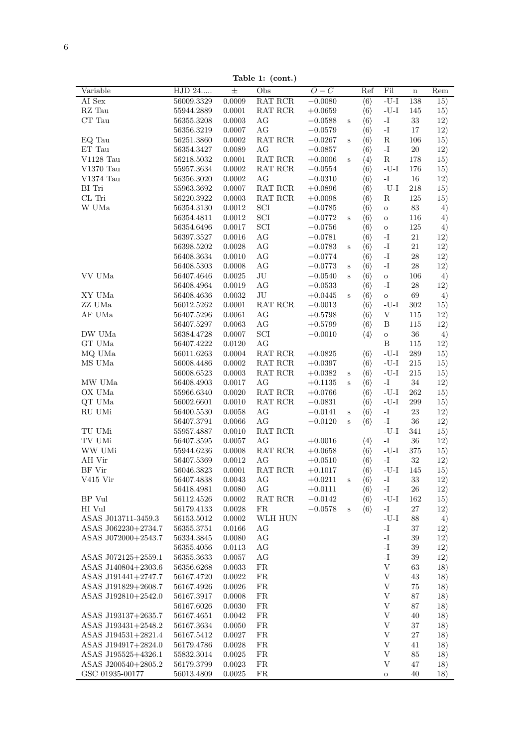$\overline{6}$ 

Table 1: (cont.)

|                                        |                          |                  | $10010$ $11$ , $100110$ ,                 |             |              |                     |                                          |                   |            |
|----------------------------------------|--------------------------|------------------|-------------------------------------------|-------------|--------------|---------------------|------------------------------------------|-------------------|------------|
| Variable                               | HJD 24                   | $\pm$            | Obs                                       | $O-C$       |              | Ref                 | Fil                                      | $\mathbf n$       | Rem        |
| AI Sex                                 | 56009.3329               | 0.0009           | RAT RCR                                   | $-0.0080$   |              | $\langle 6 \rangle$ | $-U-I$                                   | 138               | 15)        |
| $\mathbf{R}\mathbf{Z}$ Tau             | 55944.2889               | 0.0001           | $\operatorname{RAT}$ $\operatorname{RCR}$ | $+0.0659$   |              | $\langle 6 \rangle$ | -U-I                                     | 145               | 15)        |
| CT Tau                                 | 56355.3208               | 0.0003           | AG                                        | $-0.0588$   | $\rm S$      | $\langle 6 \rangle$ | $\mathbf{I}$ –                           | $33\,$            | 12)        |
|                                        | 56356.3219               | 0.0007           | $\rm{AG}$                                 | $-0.0579$   |              | $\langle 6 \rangle$ | $\mathbf{I}$ .                           | 17                | 12)        |
| EQ Tau                                 | $56251.3860\,$           | 0.0002           | $\operatorname{RAT}$ $\operatorname{RCR}$ | $-0.0267$   | $\, {\bf S}$ | $\langle 6 \rangle$ | ${\bf R}$                                | 106               | 15)        |
| ET Tau                                 | 56354.3427               | 0.0089           | $\rm{AG}$                                 | $-0.0857$   |              | $\langle 6 \rangle$ | $\mathbf{I}$                             | $20\,$            | 12)        |
| $\rm V1128$ Tau                        | 56218.5032               | 0.0001           | $\operatorname{RAT}$ $\operatorname{RCR}$ | $+0.0006$   | $\rm s$      | $\langle 4 \rangle$ | ${\bf R}$                                | 178               | 15)        |
| $\rm V1370$ Tau                        | 55957.3634               | 0.0002           | $\operatorname{RAT}$ $\operatorname{RCR}$ | $-0.0554$   |              | $\langle 6 \rangle$ | $-I-U$                                   | 176               | 15)        |
| $V1374$ Tau                            | 56356.3020               | 0.0002           | $\rm{AG}$                                 | $-0.0310$   |              | $\langle 6 \rangle$ | $\mathbf{I}$ –                           | $16\,$            | 12)        |
| BI Tri                                 | 55963.3692               | 0.0007           | RAT RCR                                   | $+0.0896$   |              |                     | $-U-I$                                   | 218               | 15)        |
|                                        |                          |                  |                                           |             |              | $\langle 6 \rangle$ |                                          |                   |            |
| CL Tri                                 | 56220.3922               | $\,0.0003\,$     | $\operatorname{RAT}$ $\operatorname{RCR}$ | $+0.0098$   |              | $\langle 6 \rangle$ | ${\bf R}$                                | 125               | 15)        |
| $\ensuremath{\text{W}}$ UMa            | 56354.3130               | 0.0012           | $\ensuremath{\mathrm{SCI}}$               | $-0.0785$   |              | $\langle 6 \rangle$ | $\rm{O}$                                 | $83\,$            | 4)         |
|                                        | 56354.4811               | 0.0012           | $\ensuremath{\mathrm{SCI}}$               | $-0.0772$   | $\mathbf S$  | $\langle 6 \rangle$ | $\rm{O}$                                 | 116               | 4)         |
|                                        | 56354.6496               | 0.0017           | $\ensuremath{\mathrm{SCI}}$               | $-0.0756$   |              | $\langle 6 \rangle$ | $\rm{O}$                                 | 125               | 4)         |
|                                        | 56397.3527               | 0.0016           | $\rm{AG}$                                 | $-0.0781$   |              | $\langle 6 \rangle$ | $\mathbf{I}$                             | $21\,$            | 12)        |
|                                        | 56398.5202               | $0.0028\,$       | AG                                        | $-0.0783$   | $\rm S$      | $\langle 6 \rangle$ | $\mathbf{-I}$                            | 21                | 12)        |
|                                        | 56408.3634               | 0.0010           | $\rm{AG}$                                 | $-0.0774\,$ |              | $\langle 6 \rangle$ | $\mathbf{I}$                             | $\ensuremath{28}$ | 12)        |
|                                        | 56408.5303               | 0.0008           | $\rm{AG}$                                 | $-0.0773$   | $\, {\bf S}$ | $\langle 6 \rangle$ | $\mathbf{I}$ .                           | $28\,$            | 12)        |
| VV UMa                                 | 56407.4646               | 0.0025           | $\rm{J}U$                                 | $-0.0540$   | $\mathbf S$  | $\langle 6 \rangle$ | $\rm{O}$                                 | 106               | 4)         |
|                                        | 56408.4964               | 0.0019           | $\rm{AG}$                                 | $-0.0533$   |              | $\langle 6 \rangle$ | $\mathbf{I}$ –                           | $28\,$            | 12)        |
| XY UMa                                 | 56408.4636               | 0.0032           | $\rm{J}U$                                 | $+0.0445$   | $\mathbf S$  | $\langle 6 \rangle$ | $\rm{O}$                                 | 69                | 4)         |
| ZZ UMa                                 | 56012.5262               | 0.0001           | RAT RCR                                   | $-0.0013$   |              | $\langle 6 \rangle$ | $-U-I$                                   | 302               | 15)        |
| AF UMa                                 | 56407.5296               | 0.0061           | $\rm{AG}$                                 | $+0.5798$   |              | $\langle 6 \rangle$ | $\ensuremath{\mathbf{V}}$                | 115               | 12)        |
|                                        | 56407.5297               | 0.0063           | $\rm{AG}$                                 | $+0.5799$   |              | $\langle 6 \rangle$ | $\, {\bf B}$                             | 115               | 12)        |
| DW UMa                                 | 56384.4728               | 0.0007           | $\ensuremath{\mathrm{SCI}}$               | $-0.0010$   |              |                     |                                          | $36\,$            |            |
| $\operatorname{GT}$ UMa                |                          |                  |                                           |             |              | $\langle 4 \rangle$ | $\mathbf O$                              |                   | 4)         |
|                                        | 56407.4222               | 0.0120           | $\rm{AG}$                                 |             |              |                     | $\, {\bf B}$                             | 115               | 12)        |
| MQ UMa                                 | 56011.6263               | $0.0004\,$       | $\operatorname{RAT}$ $\operatorname{RCR}$ | $+0.0825$   |              | $\langle 6 \rangle$ | $\mbox{-}\mathrm{U}\mbox{-}\mathrm{I}$   | 289               | 15)        |
| MS UMa                                 | $56008.4486\,$           | 0.0002           | $\operatorname{RAT}$ $\operatorname{RCR}$ | $+0.0397$   |              | $\langle 6 \rangle$ | $-U-I$                                   | $215\,$           | 15)        |
|                                        | 56008.6523               | 0.0003           | $\operatorname{RAT}$ $\operatorname{RCR}$ | $+0.0382$   | $\mathbf S$  | $\langle 6 \rangle$ | $\mbox{-}\mathrm{U}\mbox{-}\mathrm{I}$   | $215\,$           | 15)        |
| MW UMa                                 | 56408.4903               | 0.0017           | $\rm{AG}$                                 | $+0.1135$   | $\, {\bf S}$ | $\langle 6 \rangle$ | $\mathbf{I}$                             | $34\,$            | 12)        |
| OX UMa                                 | 55966.6340               | 0.0020           | $\operatorname{RAT}$ $\operatorname{RCR}$ | $+0.0766$   |              | $\langle 6 \rangle$ | $-I-U$                                   | 262               | 15)        |
| $\rm QT$ UMa                           | 56002.6601               | 0.0010           | RAT RCR                                   | $-0.0831$   |              | $\langle 6 \rangle$ | -U-I                                     | $\,299$           | 15)        |
| RU UMi                                 | $56400.5530\,$           | 0.0058           | $\rm{AG}$                                 | $-0.0141$   | $\rm S$      | $\langle 6 \rangle$ | $\mathbf{I}$                             | $23\,$            | 12)        |
|                                        | 56407.3791               | 0.0066           | AG                                        | $-0.0120$   | $\, {\bf S}$ | $\langle 6 \rangle$ | $\mathbf{I}$ .                           | 36                | 12)        |
| TU UMi                                 | 55957.4887               | 0.0010           | $\operatorname{RAT}$ $\operatorname{RCR}$ |             |              |                     | $-I-J-$                                  | 341               | 15)        |
| TV UMi                                 | $56407.3595\,$           | 0.0057           | $\rm{AG}$                                 | $+0.0016$   |              | $\langle 4 \rangle$ | $\mathbf{I}$ .                           | $36\,$            | 12)        |
| WW UMi                                 | 55944.6236               | 0.0008           | $\operatorname{RAT}$ $\operatorname{RCR}$ | $+0.0658$   |              | $\langle 6 \rangle$ | $-I-U$                                   | 375               | 15)        |
| AH Vir                                 | 56407.5369               | 0.0012           | $\rm{AG}$                                 | $+0.0510$   |              | $\langle 6 \rangle$ | $\mathbf{I}$ –                           | $32\,$            | 12)        |
| BF Vir                                 | 56046.3823               | 0.0001           | RAT RCR                                   | $+0.1017$   |              | $\langle 6 \rangle$ | $-U-I$                                   | 145               | 15)        |
| V415 Vir                               | 56407.4838               | 0.0043           | AG                                        | $+0.0211$   | $\mathbf S$  | $\langle 6 \rangle$ | -1                                       | 33                | 12)        |
|                                        | 56418.4981               | 0.0080           | AG                                        | $+0.0111$   |              | $\langle 6 \rangle$ | -I                                       | 26                | 12)        |
| BP Vul                                 | 56112.4526               | 0.0002           | $\operatorname{RAT}$ $\operatorname{RCR}$ | $-0.0142$   |              | $\langle 6 \rangle$ | $-I-U$                                   | 162               | 15)        |
| HI Vul                                 | 56179.4133               | 0.0028           | FR                                        | $-0.0578$   |              | $\langle 6 \rangle$ | $\mathbf{I}$ –                           | $27\,$            | 12)        |
| ASAS J013711-3459.3                    | 56153.5012               | 0.0002           | WLH HUN                                   |             | $\mathbf S$  |                     | $\mbox{-}\mathrm{U}\mbox{-}\mathrm{I}$   | 88                |            |
|                                        |                          |                  |                                           |             |              |                     |                                          |                   | 4)         |
| ASAS J062230+2734.7                    | 56355.3751               | 0.0166           | AG                                        |             |              |                     | -I                                       | 37                | 12)        |
| ASAS J072000+2543.7                    | 56334.3845               | 0.0080           | AG                                        |             |              |                     | $\mathbf{I}$ .                           | 39                | 12)        |
|                                        | 56355.4056               | 0.0113           | AG                                        |             |              |                     | $\mathbf{I}$ .                           | 39                | 12)        |
| ASAS J072125+2559.1                    | 56355.3633               | 0.0057           | AG                                        |             |              |                     | $\mathbf{I}$ .                           | $39\,$            | 12)        |
| ASAS J140804+2303.6                    | 56356.6268               | $\,0.0033\,$     | FR                                        |             |              |                     | $\ensuremath{\mathbf{V}}$                | 63                | 18)        |
| ASAS J191441+2747.7                    | 56167.4720               | 0.0022           | FR                                        |             |              |                     | $\ensuremath{\mathbf{V}}$                | 43                | 18)        |
| ASAS J191829+2608.7                    | 56167.4926               | 0.0026           | FR                                        |             |              |                     | $\ensuremath{\mathbf{V}}$                | $75\,$            | 18)        |
| ASAS J192810+2542.0                    | 56167.3917               | 0.0008           | FR                                        |             |              |                     | $\ensuremath{\mathbf{V}}$                | 87                | 18)        |
|                                        | 56167.6026               | 0.0030           | FR                                        |             |              |                     | $\ensuremath{\mathbf{V}}$                | 87                | 18)        |
| ASAS J193137+2635.7                    | 56167.4651               | 0.0042           | FR                                        |             |              |                     | $\ensuremath{\mathbf{V}}$                | 40                | 18)        |
| ASAS J193431+2548.2                    | 56167.3634               | 0.0050           | FR                                        |             |              |                     | $\ensuremath{\mathbf{V}}$                | 37                | 18)        |
| ASAS J194531+2821.4                    | 56167.5412               | 0.0027           | FR                                        |             |              |                     | $\ensuremath{\mathbf{V}}$                | 27                | 18)        |
| ASAS J194917+2824.0                    | 56179.4786               | 0.0028           | FR                                        |             |              |                     | $\ensuremath{\mathbf{V}}$                | 41                | 18)        |
|                                        |                          |                  | FR                                        |             |              |                     | $\ensuremath{\mathbf{V}}$                | 85                | 18)        |
|                                        |                          |                  |                                           |             |              |                     |                                          |                   |            |
| ASAS J195525+4326.1                    | 55832.3014               | 0.0025           |                                           |             |              |                     |                                          |                   |            |
| ASAS J200540+2805.2<br>GSC 01935-00177 | 56179.3799<br>56013.4809 | 0.0023<br>0.0025 | ${\rm FR}$<br>FR                          |             |              |                     | $\ensuremath{\mathbf{V}}$<br>$\mathbf O$ | $47\,$<br>40      | 18)<br>18) |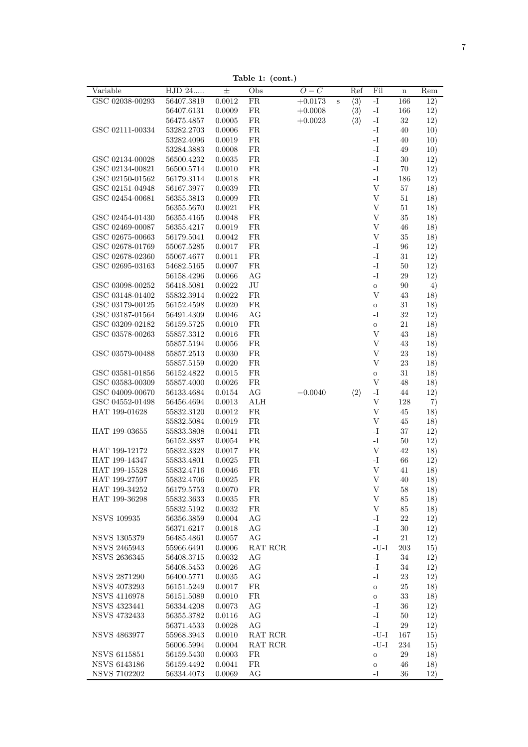**Table 1: (cont.)**

| Variable                           | HJD 24     | 士          | Obs        | $O-C$     |             | Ref                 | Fil                       | $\mathbf n$ | Rem |
|------------------------------------|------------|------------|------------|-----------|-------------|---------------------|---------------------------|-------------|-----|
| GSC 02038-00293                    | 56407.3819 | 0.0012     | FR         | $+0.0173$ | $\mathbf S$ | $\langle 3 \rangle$ | $-I$                      | 166         | 12) |
|                                    | 56407.6131 | 0.0009     | ${\rm FR}$ | $+0.0008$ |             | $\langle 3 \rangle$ | $\mathbf{-I}$             | 166         | 12) |
|                                    | 56475.4857 | 0.0005     | FR         | $+0.0023$ |             | $\langle 3 \rangle$ | -I                        | $32\,$      | 12) |
| GSC 02111-00334                    | 53282.2703 | 0.0006     | FR         |           |             |                     | -I                        | 40          | 10) |
|                                    | 53282.4096 | 0.0019     | FR         |           |             |                     | $I-$                      | 40          | 10) |
|                                    | 53284.3883 | 0.0008     | FR         |           |             |                     | $\mathbf{I}$ -            | 49          | 10) |
| GSC 02134-00028                    | 56500.4232 | 0.0035     | FR         |           |             |                     | $\mathbf{I}$ –            | $30\,$      | 12) |
| GSC 02134-00821                    | 56500.5714 | 0.0010     | FR         |           |             |                     | $\mathbf{I}$              | 70          | 12) |
| GSC 02150-01562                    | 56179.3114 | 0.0018     | FR         |           |             |                     | $\mathbf{I}$              | 186         | 12) |
| GSC 02151-04948                    | 56167.3977 | 0.0039     | FR         |           |             |                     | $\boldsymbol{\mathrm{V}}$ | 57          | 18) |
| GSC 02454-00681                    | 56355.3813 | 0.0009     | ${\rm FR}$ |           |             |                     | $\ensuremath{\mathbf{V}}$ | $51\,$      | 18) |
|                                    | 56355.5670 | 0.0021     | ${\rm FR}$ |           |             |                     | $\ensuremath{\mathbf{V}}$ | $51\,$      | 18) |
| GSC 02454-01430                    | 56355.4165 | 0.0048     | ${\rm FR}$ |           |             |                     | $\boldsymbol{\mathrm{V}}$ | $35\,$      | 18) |
| GSC 02469-00087                    | 56355.4217 | 0.0019     | ${\rm FR}$ |           |             |                     | $\ensuremath{\mathbf{V}}$ | 46          | 18) |
| GSC 02675-00663                    | 56179.5041 | 0.0042     | FR         |           |             |                     | $\mathbf V$               | $35\,$      | 18) |
| GSC 02678-01769                    |            |            | ${\rm FR}$ |           |             |                     | $\mathbf{I}$              | $96\,$      |     |
|                                    | 55067.5285 | 0.0017     | ${\rm FR}$ |           |             |                     | $\mathbf{I}$ –            |             | 12) |
| GSC 02678-02360<br>GSC 02695-03163 | 55067.4677 | 0.0011     | ${\rm FR}$ |           |             |                     | $\mathbf{I}$ .            | 31          | 12) |
|                                    | 54682.5165 | 0.0007     |            |           |             |                     |                           | $50\,$      | 12) |
|                                    | 56158.4296 | 0.0066     | AG         |           |             |                     | $\mathbf{I}$ –            | $\,29$      | 12) |
| GSC 03098-00252                    | 56418.5081 | 0.0022     | $\rm{J}U$  |           |             |                     | $\mathbf O$               | 90          | 4)  |
| GSC 03148-01402                    | 55832.3914 | 0.0022     | FR         |           |             |                     | V                         | 43          | 18) |
| GSC 03179-00125                    | 56152.4598 | 0.0020     | FR         |           |             |                     | $\mathbf O$               | $31\,$      | 18) |
| GSC 03187-01564                    | 56491.4309 | 0.0046     | AG         |           |             |                     | $\mathbf{I}$ –            | 32          | 12) |
| GSC 03209-02182                    | 56159.5725 | 0.0010     | ${\rm FR}$ |           |             |                     | $\mathbf O$               | 21          | 18) |
| GSC 03578-00263                    | 55857.3312 | 0.0016     | FR         |           |             |                     | $\mathbf V$               | 43          | 18) |
|                                    | 55857.5194 | 0.0056     | FR         |           |             |                     | $\ensuremath{\mathbf{V}}$ | 43          | 18) |
| GSC 03579-00488                    | 55857.2513 | 0.0030     | FR         |           |             |                     | V                         | 23          | 18) |
|                                    | 55857.5159 | 0.0020     | ${\rm FR}$ |           |             |                     | $\mathbf V$               | $23\,$      | 18) |
| GSC 03581-01856                    | 56152.4822 | 0.0015     | ${\rm FR}$ |           |             |                     | $\mathbf O$               | 31          | 18) |
| GSC 03583-00309                    | 55857.4000 | 0.0026     | ${\rm FR}$ |           |             |                     | $\boldsymbol{\mathrm{V}}$ | 48          | 18) |
| GSC 04009-00670                    | 56133.4684 | 0.0154     | AG         | $-0.0040$ |             | $\langle 2 \rangle$ | -I                        | 44          | 12) |
| GSC 04552-01498                    | 56456.4694 | 0.0013     | ALH        |           |             |                     | $\ensuremath{\mathbf{V}}$ | 128         | 7)  |
| HAT 199-01628                      | 55832.3120 | 0.0012     | FR         |           |             |                     | V                         | 45          | 18) |
|                                    | 55832.5084 | 0.0019     | ${\rm FR}$ |           |             |                     | $\ensuremath{\mathbf{V}}$ | 45          | 18) |
| HAT 199-03655                      | 55833.3808 | 0.0041     | ${\rm FR}$ |           |             |                     | $\mathbf{I}$ –            | $37\,$      | 12) |
|                                    | 56152.3887 | 0.0054     | FR         |           |             |                     | $\mathbf{I}$              | $50\,$      | 12) |
| HAT 199-12172                      | 55832.3328 | 0.0017     | FR         |           |             |                     | $\ensuremath{\mathbf{V}}$ | 42          | 18) |
| HAT 199-14347                      | 55833.4801 | 0.0025     | FR         |           |             |                     | -I                        | 66          | 12) |
| HAT 199-15528                      | 55832.4716 | 0.0046     | FR         |           |             |                     | $\ensuremath{\mathbf{V}}$ | 41          | 18) |
| HAT 199-27597                      | 55832.4706 | 0.0025     | ${\rm FR}$ |           |             |                     | $\mathbf V$               | 40          | 18) |
| HAT 199-34252                      | 56179.5753 | 0.0070     | FR         |           |             |                     | $\ensuremath{\mathbf{V}}$ | 58          | 18) |
| HAT 199-36298                      | 55832.3633 | 0.0035     | FR         |           |             |                     | $\ensuremath{\mathbf{V}}$ | 85          | 18) |
|                                    | 55832.5192 | 0.0032     | FR         |           |             |                     | $\ensuremath{\mathbf{V}}$ | 85          | 18) |
| <b>NSVS 109935</b>                 | 56356.3859 | 0.0004     | AG         |           |             |                     | -I                        | $22\,$      | 12) |
|                                    | 56371.6217 | 0.0018     | AG         |           |             |                     | $\mathbf{I}$              | $30\,$      | 12) |
| NSVS 1305379                       | 56485.4861 | 0.0057     | AG         |           |             |                     | $\mathbf{I}$              | $21\,$      | 12) |
| <b>NSVS 2465943</b>                | 55966.6491 | 0.0006     | RAT RCR    |           |             |                     | $-U-I$                    | 203         | 15) |
| <b>NSVS 2636345</b>                | 56408.3715 | 0.0032     | AG         |           |             |                     | -I                        | $34\,$      | 12) |
|                                    | 56408.5453 | 0.0026     | AG         |           |             |                     | $\mathbf{I}$              | $34\,$      |     |
|                                    |            |            |            |           |             |                     | -I                        |             | 12) |
| <b>NSVS 2871290</b>                | 56400.5771 | 0.0035     | AG         |           |             |                     |                           | 23          | 12) |
| <b>NSVS 4073293</b>                | 56151.5249 | $0.0017\,$ | ${\rm FR}$ |           |             |                     | $\mathbf O$               | $25\,$      | 18) |
| <b>NSVS 4116978</b>                | 56151.5089 | 0.0010     | ${\rm FR}$ |           |             |                     | $\mathbf O$               | 33          | 18) |
| NSVS 4323441                       | 56334.4208 | 0.0073     | AG         |           |             |                     | $\mathbf{I}$              | 36          | 12) |
| <b>NSVS 4732433</b>                | 56355.3782 | 0.0116     | AG         |           |             |                     | $\mathbf{-I}$             | $50\,$      | 12) |
|                                    | 56371.4533 | 0.0028     | AG         |           |             |                     | $\mathbf{I}$              | $\,29$      | 12) |
| <b>NSVS 4863977</b>                | 55968.3943 | 0.0010     | RAT RCR    |           |             |                     | -U-I                      | 167         | 15) |
|                                    | 56006.5994 | 0.0004     | RAT RCR    |           |             |                     | $-U-I$                    | 234         | 15) |
| <b>NSVS 6115851</b>                | 56159.5430 | 0.0003     | FR         |           |             |                     | $\mathbf O$               | $\,29$      | 18) |
| <b>NSVS 6143186</b>                | 56159.4492 | 0.0041     | ${\rm FR}$ |           |             |                     | $\mathbf O$               | 46          | 18) |
| <b>NSVS 7102202</b>                | 56334.4073 | 0.0069     | AG         |           |             |                     | -1                        | 36          | 12) |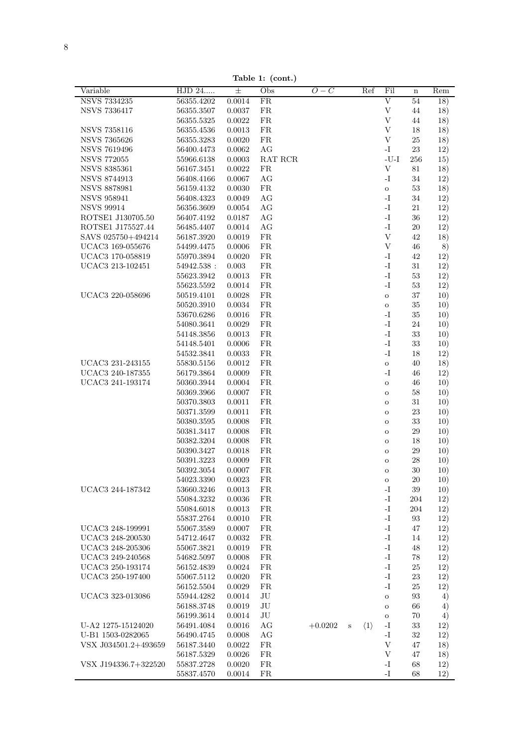**Table 1: (cont.)**

| Variable             | HJD 24         | $\pm$  | Obs        | $O-C$     | Ref                                | Fil                       | $\mathbf n$ | Rem |
|----------------------|----------------|--------|------------|-----------|------------------------------------|---------------------------|-------------|-----|
| <b>NSVS 7334235</b>  | 56355.4202     | 0.0014 | ${\rm FR}$ |           |                                    | V                         | 54          | 18) |
|                      |                |        |            |           |                                    |                           |             |     |
| <b>NSVS 7336417</b>  | 56355.3507     | 0.0037 | ${\rm FR}$ |           |                                    | $\ensuremath{\mathbf{V}}$ | 44          | 18) |
|                      | $56355.5325\,$ | 0.0022 | ${\rm FR}$ |           |                                    | $\ensuremath{\mathbf{V}}$ | 44          | 18) |
| <b>NSVS 7358116</b>  | 56355.4536     | 0.0013 | ${\rm FR}$ |           |                                    | $\ensuremath{\mathbf{V}}$ | 18          | 18) |
| <b>NSVS 7365626</b>  | 56355.3283     | 0.0020 | ${\rm FR}$ |           |                                    | $\ensuremath{\mathbf{V}}$ | $25\,$      | 18) |
| <b>NSVS 7619496</b>  | 56400.4473     | 0.0062 | AG         |           |                                    | -I                        | 23          | 12) |
| <b>NSVS 772055</b>   | 55966.6138     | 0.0003 | RAT RCR    |           |                                    | $-U-I$                    | 256         | 15) |
| <b>NSVS 8385361</b>  | 56167.3451     | 0.0022 | FR         |           |                                    | $\ensuremath{\mathbf{V}}$ | 81          | 18) |
| <b>NSVS 8744913</b>  | 56408.4166     | 0.0067 | AG         |           |                                    | $\mathbf{-I}$             | 34          | 12) |
| <b>NSVS 8878981</b>  | 56159.4132     | 0.0030 | FR         |           |                                    | $\mathbf O$               | 53          | 18) |
|                      |                |        |            |           |                                    |                           |             |     |
| <b>NSVS 958941</b>   | 56408.4323     | 0.0049 | AG         |           |                                    | $-I$                      | 34          | 12) |
| <b>NSVS 99914</b>    | 56356.3609     | 0.0054 | AG         |           |                                    | $\mathbf{-I}$             | 21          | 12) |
| ROTSE1 J130705.50    | 56407.4192     | 0.0187 | AG         |           |                                    | $\mathbf{I}$ .            | 36          | 12) |
| ROTSE1 J175527.44    | 56485.4407     | 0.0014 | AG         |           |                                    | $\mathbf{I}$ .            | 20          | 12) |
| SAVS 025750+494214   | 56187.3920     | 0.0019 | ${\rm FR}$ |           |                                    | $\ensuremath{\mathbf{V}}$ | 42          | 18) |
| UCAC3 169-055676     | 54499.4475     | 0.0006 | ${\rm FR}$ |           |                                    | V                         | 46          | 8)  |
| UCAC3 170-058819     | 55970.3894     | 0.0020 | ${\rm FR}$ |           |                                    | $\mathbf{I}$ .            | 42          | 12) |
| UCAC3 213-102451     | 54942.538 :    | 0.003  | FR         |           |                                    | $\mathbf{-I}$             | 31          | 12) |
|                      | 55623.3942     | 0.0013 | ${\rm FR}$ |           |                                    | $\mathbf{I}$ .            | 53          | 12) |
|                      |                |        |            |           |                                    |                           |             |     |
|                      | $55623.5592\,$ | 0.0014 | ${\rm FR}$ |           |                                    | $\mathbf{-I}$             | $53\,$      | 12) |
| UCAC3 220-058696     | 50519.4101     | 0.0028 | FR         |           |                                    | $\mathbf O$               | $37\,$      | 10) |
|                      | 50520.3910     | 0.0034 | FR         |           |                                    | $\mathbf O$               | $35\,$      | 10) |
|                      | 53670.6286     | 0.0016 | FR         |           |                                    | $\mathbf{-I}$             | $35\,$      | 10) |
|                      | 54080.3641     | 0.0029 | ${\rm FR}$ |           |                                    | $-I$                      | 24          | 10) |
|                      | 54148.3856     | 0.0013 | ${\rm FR}$ |           |                                    | $\mathbf{I}$ .            | 33          | 10) |
|                      | 54148.5401     | 0.0006 | ${\rm FR}$ |           |                                    | $\mathbf{I}$ .            | 33          | 10) |
|                      | 54532.3841     | 0.0033 | ${\rm FR}$ |           |                                    | $\mathbf{I}$ .            | 18          | 12) |
| UCAC3 231-243155     | 55830.5156     | 0.0012 | FR         |           |                                    | $\rm{O}$                  | 40          | 18) |
|                      |                |        |            |           |                                    |                           |             |     |
| UCAC3 240-187355     | 56179.3864     | 0.0009 | FR         |           |                                    | $\mathbf{-I}$             | 46          | 12) |
| UCAC3 241-193174     | 50360.3944     | 0.0004 | ${\rm FR}$ |           |                                    | $\rm{O}$                  | 46          | 10) |
|                      | 50369.3966     | 0.0007 | ${\rm FR}$ |           |                                    | $\mathbf O$               | 58          | 10) |
|                      | 50370.3803     | 0.0011 | ${\rm FR}$ |           |                                    | $\mathbf O$               | 31          | 10) |
|                      | 50371.3599     | 0.0011 | ${\rm FR}$ |           |                                    | $\mathbf O$               | 23          | 10) |
|                      | 50380.3595     | 0.0008 | FR         |           |                                    | $\mathbf O$               | 33          | 10) |
|                      | 50381.3417     | 0.0008 | FR         |           |                                    | $\mathbf O$               | 29          | 10) |
|                      | 50382.3204     | 0.0008 | FR         |           |                                    | $\mathbf O$               | 18          | 10) |
|                      | 50390.3427     | 0.0018 | ${\rm FR}$ |           |                                    | $\mathbf O$               | 29          | 10) |
|                      | 50391.3223     | 0.0009 | ${\rm FR}$ |           |                                    |                           | 28          |     |
|                      |                |        |            |           |                                    | $\mathbf O$               |             | 10) |
|                      | 50392.3054     | 0.0007 | FR         |           |                                    | $\mathbf O$               | $30\,$      | 10) |
|                      | 54023.3390     | 0.0023 | FR         |           |                                    | $\circ$                   | $20\,$      | 10) |
| UCAC3 244-187342     | 53660.3246     | 0.0013 | FR         |           |                                    | $-I$                      | 39          | 10) |
|                      | 55084.3232     | 0.0036 | ${\rm FR}$ |           |                                    | $\mathbf{I}$ .            | 204         | 12) |
|                      | 55084.6018     | 0.0013 | ${\rm FR}$ |           |                                    | $\mathbf{I}$              | 204         | 12) |
|                      | 55837.2764     | 0.0010 | ${\rm FR}$ |           |                                    | $\mathbf{-I}$             | 93          | 12) |
| UCAC3 248-199991     | 55067.3589     | 0.0007 | FR         |           |                                    | $\mathbf{I}$ .            | 47          | 12) |
| UCAC3 248-200530     | 54712.4647     | 0.0032 | FR         |           |                                    | $\mathbf{I}$              | 14          | 12) |
| UCAC3 248-205306     | 55067.3821     | 0.0019 | ${\rm FR}$ |           |                                    | $-I$                      | 48          | 12) |
|                      |                |        |            |           |                                    | $\mathbf{-I}$             |             |     |
| UCAC3 249-240568     | 54682.5097     | 0.0008 | ${\rm FR}$ |           |                                    |                           | 78          | 12) |
| UCAC3 250-193174     | 56152.4839     | 0.0024 | FR         |           |                                    | $\mathbf{-I}$             | $25\,$      | 12) |
| UCAC3 250-197400     | 55067.5112     | 0.0020 | ${\rm FR}$ |           |                                    | $\mathbf{-I}$             | $23\,$      | 12) |
|                      | $56152.5504\,$ | 0.0029 | ${\rm FR}$ |           |                                    | $\mathbf{I}$              | 25          | 12) |
| UCAC3 323-013086     | 55944.4282     | 0.0014 | $\rm{J}U$  |           |                                    | $\rm{O}$                  | 93          | 4)  |
|                      | 56188.3748     | 0.0019 | $\rm{J}U$  |           |                                    | $\mathbf O$               | 66          | 4)  |
|                      | 56199.3614     | 0.0014 | $\rm{J}U$  |           |                                    | $\rm{O}$                  | $70\,$      | 4)  |
| U-A2 1275-15124020   | 56491.4084     | 0.0016 | $\rm{AG}$  | $+0.0202$ | $\langle 1 \rangle$<br>$\mathbf S$ | $-I$                      | $33\,$      | 12) |
|                      |                |        |            |           |                                    |                           |             |     |
| U-B1 1503-0282065    | $56490.4745\,$ | 0.0008 | AG         |           |                                    | $\mathbf{I}$              | 32          | 12) |
| VSX J034501.2+493659 | 56187.3440     | 0.0022 | ${\rm FR}$ |           |                                    | $\ensuremath{\mathbf{V}}$ | 47          | 18) |
|                      | 56187.5329     | 0.0026 | FR         |           |                                    | $\ensuremath{\mathbf{V}}$ | 47          | 18) |
| VSX J194336.7+322520 | 55837.2728     | 0.0020 | ${\rm FR}$ |           |                                    | -I                        | 68          | 12) |
|                      | 55837.4570     | 0.0014 | FR         |           |                                    | $\mathbf{-I}$             | 68          | 12) |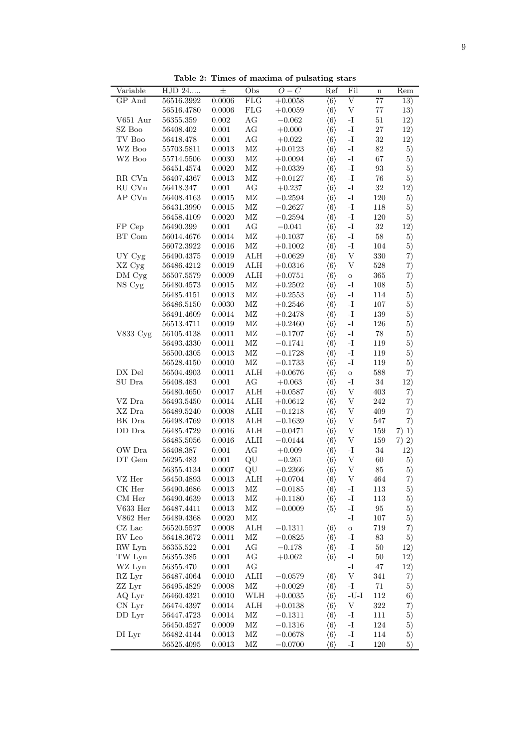Table 2: Times of maxima of pulsating stars

| Variable                       | HJD 24     | $\pm$      | Obs                     | Three of maxima or pubaving bears<br>$\overline{O}-C$ | Ref                 | Fil                       | $\mathbf n$       | Rem     |
|--------------------------------|------------|------------|-------------------------|-------------------------------------------------------|---------------------|---------------------------|-------------------|---------|
| GP And                         | 56516.3992 | 0.0006     | FLG                     | $+0.0058$                                             | $\langle 6 \rangle$ | $\overline{\mathrm{V}}$   | $\overline{77}$   | 13)     |
|                                | 56516.4780 | 0.0006     | <b>FLG</b>              | $+0.0059$                                             | $\langle 6 \rangle$ | $\mathbf V$               | $77\,$            | 13)     |
| V651 Aur                       | 56355.359  | 0.002      | $\rm{AG}$               | $-0.062$                                              | $\langle 6 \rangle$ | $\mathbf{I}$ .            | $51\,$            | 12)     |
| $\rm SZ$ Boo                   | 56408.402  | 0.001      | AG                      | $+0.000$                                              | $\langle 6 \rangle$ | -I                        | $27\,$            | 12)     |
| $\operatorname{TV}$ Boo        | 56418.478  | 0.001      | $\rm{AG}$               | $+0.022$                                              | $\langle 6 \rangle$ | $\mathbf{I}$ .            | $32\,$            | 12)     |
| $\rm WZ$ Boo                   | 55703.5811 | 0.0013     | $\rm MZ$                | $+0.0123$                                             | $\langle 6 \rangle$ | $\mathbf{I}$ .            | $82\,$            | 5)      |
| $\rm WZ$ Boo                   | 55714.5506 | 0.0030     | $\rm MZ$                | $+0.0094$                                             | $\langle 6 \rangle$ | $\mathbf{I}$ .            | $67\,$            | 5)      |
|                                | 56451.4574 | 0.0020     | $\rm MZ$                | $+0.0339$                                             | $\langle 6 \rangle$ | $\mathbf{I}$ .            | $\boldsymbol{93}$ | 5)      |
| RR CVn                         | 56407.4367 | 0.0013     | $\rm MZ$                | $+0.0127$                                             | $\langle 6 \rangle$ | $\mathbf{I}$ –            | $76\,$            | 5)      |
| RU CVn                         | 56418.347  | 0.001      | $\rm{AG}$               | $+0.237$                                              | $\langle 6 \rangle$ | $\mathbf{I}$ –            | $32\,$            | 12)     |
| AP CVn                         | 56408.4163 | 0.0015     | $\rm MZ$                | $-0.2594$                                             | $\langle 6 \rangle$ | $\mathbf{I}$ .            | 120               | 5)      |
|                                | 56431.3990 | 0.0015     | $\rm MZ$                | $-0.2627$                                             | $\langle 6 \rangle$ | $\mathbf{I}$ .            | $118\,$           | 5)      |
|                                | 56458.4109 | 0.0020     | $\rm MZ$                | $-0.2594$                                             | $\langle 6 \rangle$ | $\mathbf{I}$ .            | $120\,$           | 5)      |
| FP Cep                         | 56490.399  | 0.001      | $\rm{AG}$               | $-0.041$                                              | $\langle 6 \rangle$ | $\mathbf{I}$ .            | $32\,$            | 12)     |
| BT Com                         | 56014.4676 | 0.0014     | $\rm MZ$                | $+0.1037$                                             | $\langle 6 \rangle$ | $\mathbf{I}$ .            | $58\,$            | 5)      |
|                                | 56072.3922 | 0.0016     | $\rm MZ$                | $+0.1002$                                             | $\langle 6 \rangle$ | -I                        | 104               | 5)      |
| UY Cyg                         | 56490.4375 | 0.0019     | $\mathop{\mathrm{ALH}}$ | $+0.0629$                                             | $\langle 6 \rangle$ | $\mathbf V$               | $330\,$           | 7)      |
| XZ Cyg                         | 56486.4212 | 0.0019     | ${\rm ALH}$             | $+0.0316$                                             | $\langle 6 \rangle$ | $\ensuremath{\mathbf{V}}$ | 528               | 7)      |
| $DM\,$ Cyg                     | 56507.5579 | 0.0009     | ALH                     | $+0.0751$                                             | $\langle 6 \rangle$ | $\rm{O}$                  | 365               | 7)      |
| NS Cyg                         | 56480.4573 | 0.0015     | $\rm MZ$                | $+0.2502$                                             | $\langle 6 \rangle$ | $\mathbf{I}$ .            | $108\,$           | 5)      |
|                                | 56485.4151 | $0.0013\,$ | $\rm MZ$                | $+0.2553$                                             | $\langle 6 \rangle$ | $\mathbf{I}$ .            | 114               | 5)      |
|                                | 56486.5150 | 0.0030     | $\rm MZ$                | $+0.2546$                                             | $\langle 6 \rangle$ | $\mathbf{I}$              | 107               | 5)      |
|                                | 56491.4609 | 0.0014     | $\rm MZ$                | $+0.2478$                                             | $\langle 6 \rangle$ | $\mathbf{I}$ .            | $139\,$           | 5)      |
|                                | 56513.4711 | 0.0019     | $\rm MZ$                | $+0.2460$                                             | $\langle 6 \rangle$ | $\mathbf{I}$ .            | $126\,$           | 5)      |
| V833 Cyg                       | 56105.4138 | 0.0011     | $\rm MZ$                | $-0.1707$                                             | $\langle 6 \rangle$ | $\mathbf{I}$ –            | $78\,$            | 5)      |
|                                | 56493.4330 | 0.0011     | $\rm MZ$                | $-0.1741$                                             | $\langle 6 \rangle$ | $\mathbf{I}$ .            | $119\,$           | 5)      |
|                                | 56500.4305 | 0.0013     | $\rm MZ$                | $-0.1728$                                             | $\langle 6 \rangle$ | $\mathbf{I}$ .            | 119               | 5)      |
|                                | 56528.4150 | 0.0010     | $\rm MZ$                | $-0.1733$                                             | $\langle 6 \rangle$ | $\mathbf{I}$ –            | $119\,$           | 5)      |
| DX Del                         | 56504.4903 | 0.0011     | ${\rm ALH}$             | $+0.0676$                                             | $\langle 6 \rangle$ | $\overline{O}$            | 588               | 7)      |
| SU Dra                         | 56408.483  | $0.001\,$  | AG                      | $+0.063$                                              | $\langle 6 \rangle$ | $\mathbf{I}$ .            | $34\,$            | 12)     |
|                                | 56480.4650 | 0.0017     | ${\rm ALH}$             | $+0.0587$                                             | $\langle 6 \rangle$ | $\ensuremath{\mathbf{V}}$ | $403\,$           | 7)      |
| VZ Dra                         | 56493.5450 | 0.0014     | ${\rm ALH}$             | $+0.0612$                                             | $\langle 6 \rangle$ | $\ensuremath{\mathbf{V}}$ | $242\,$           | 7)      |
| XZ Dra                         | 56489.5240 | 0.0008     | $\mathop{\mathrm{ALH}}$ | $-0.1218$                                             | $\langle 6 \rangle$ | V                         | 409               | 7)      |
| BK Dra                         | 56498.4769 | $0.0018\,$ | $\mathop{\mathrm{ALH}}$ | $-0.1639$                                             | $\langle 6 \rangle$ | V                         | $547\,$           | 7)      |
| $\operatorname{DD}$ Dra        | 56485.4729 | 0.0016     | ${\rm ALH}$             | $-0.0471$                                             | $\langle 6 \rangle$ | $\ensuremath{\mathbf{V}}$ | 159               | $7)$ 1) |
|                                | 56485.5056 | 0.0016     | ALH                     | $-0.0144$                                             | $\langle 6 \rangle$ | $\mathbf V$               | 159               | $7)$ 2) |
| OW Dra                         | 56408.387  | $0.001\,$  | $\rm{AG}$               | $+0.009$                                              | $\langle 6 \rangle$ | -I                        | $34\,$            | 12)     |
| $\mathop{\rm DT}\nolimits$ Gem | 56295.483  | $0.001\,$  | QU                      | $-0.261$                                              | $\langle 6 \rangle$ | $\mathbf V$               | $60\,$            | 5)      |
|                                | 56355.4134 | 0.0007     | QU                      | $-0.2366$                                             | $\langle 6 \rangle$ | V                         | 85                | 5)      |
| VZ Her                         | 56450.4893 | 0.0013     | ${\rm ALH}$             | $+0.0704$                                             | $\langle 6 \rangle$ | $\mathbf V$               | 464               | 7)      |
| $\mathrm{CK}$ Her              | 56490.4686 | 0.0013     | $\rm MZ$                | $-0.0185$                                             | $\langle 6 \rangle$ | -I                        | 113               | 5)      |
| $\rm CM\,\,Her$                | 56490.4639 | 0.0013     | ΜZ                      | $+0.1180$                                             | $\langle 6 \rangle$ | -I                        | 113               | 5)      |
| V633 Her                       | 56487.4411 | 0.0013     | $\rm MZ$                | $-0.0009$                                             | $\langle 5 \rangle$ | $\mathbf{-I}$             | 95                | 5)      |
| V862 Her                       | 56489.4368 | 0.0020     | $\rm MZ$                |                                                       |                     | -I                        | 107               | 5)      |
| $CZ$ Lac                       | 56520.5527 | 0.0008     | ALH                     | $-0.1311$                                             | $\langle 6 \rangle$ | $\overline{O}$            | 719               | 7)      |
| ${\rm RV}$ Leo                 | 56418.3672 | 0.0011     | $\rm MZ$                | $-0.0825$                                             | $\langle 6 \rangle$ | $\mathbf{I}$              | $83\,$            | 5)      |
| RW Lyn                         | 56355.522  | 0.001      | AG                      | $-0.178$                                              | $\langle 6 \rangle$ | -I                        | $50\,$            | 12)     |
| TW Lyn                         | 56355.385  | 0.001      | AG                      | $+0.062$                                              | $\langle 6 \rangle$ | -I                        | $50\,$            | 12)     |
| WZ Lyn                         | 56355.470  | $0.001\,$  | AG                      |                                                       |                     | -I                        | $47\,$            | 12)     |
| RZ Lyr                         | 56487.4064 | 0.0010     | $\mathop{\mathrm{ALH}}$ | $-0.0579$                                             | $\langle 6 \rangle$ | V                         | 341               | 7)      |
| ZZ Lyr                         | 56495.4829 | 0.0008     | $\rm MZ$                | $+0.0029$                                             | $\langle 6 \rangle$ | -1                        | $71\,$            | 5)      |
| AQ Lyr                         | 56460.4321 | 0.0010     | WLH                     | $+0.0035$                                             | $\langle 6 \rangle$ | $-U-I$                    | $112\,$           | 6)      |
| CN Lyr                         | 56474.4397 | 0.0014     | ALH                     | $+0.0138$                                             | $\langle 6 \rangle$ | V                         | 322               | 7)      |
| DD Lyr                         | 56447.4723 | 0.0014     | ΜZ                      | $-0.1311$                                             | $\langle 6 \rangle$ | -I                        | 111               | 5)      |
|                                | 56450.4527 | 0.0009     | $\rm MZ$                | $-0.1316$                                             | $\langle 6 \rangle$ | -I                        | 124               | 5)      |
| DI Lyr                         | 56482.4144 | 0.0013     | $\rm MZ$                | $-0.0678$                                             | $\langle 6 \rangle$ | $\mathbf{I}$              | 114               | 5)      |
|                                | 56525.4095 | 0.0013     | $\rm MZ$                | $-0.0700$                                             | $\langle 6 \rangle$ | $\mathbf{-I}$             | $120\,$           | 5)      |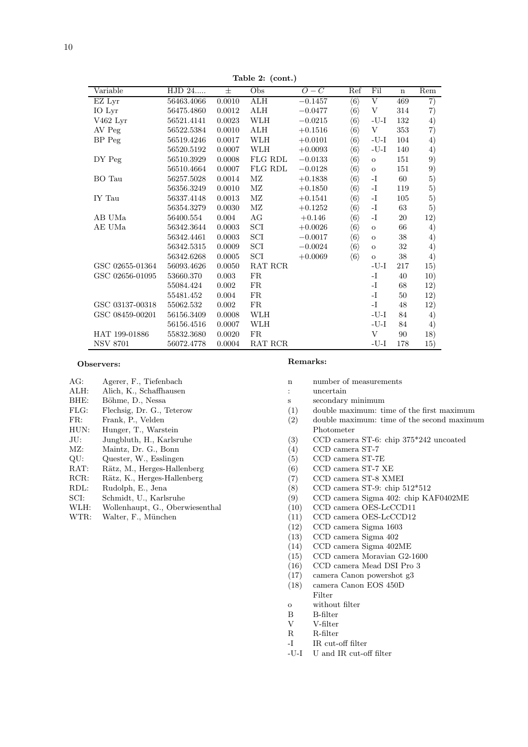| Variable            | HJD 24     | 士          | Obs                         | $O-C$     | Ref                 | Fil          | $\mathbf n$ | Rem |
|---------------------|------------|------------|-----------------------------|-----------|---------------------|--------------|-------------|-----|
| EZ Lyr              | 56463.4066 | 0.0010     | <b>ALH</b>                  | $-0.1457$ | $\langle 6 \rangle$ | V            | 469         | 7)  |
| IO Lyr              | 56475.4860 | 0.0012     | $\rm ALH$                   | $-0.0477$ | $\langle 6 \rangle$ | V            | 314         | 7)  |
| $V462 \mathrm{Lyr}$ | 56521.4141 | 0.0023     | WLH                         | $-0.0215$ | $\langle 6 \rangle$ | -U-I         | 132         | 4)  |
| AV Peg              | 56522.5384 | $0.0010\,$ | $\rm ALH$                   | $+0.1516$ | $\langle 6 \rangle$ | V            | 353         | 7)  |
| BP Peg              | 56519.4246 | 0.0017     | WLH                         | $+0.0101$ | $\langle 6 \rangle$ | $-U-I$       | 104         | 4)  |
|                     | 56520.5192 | 0.0007     | WLH                         | $+0.0093$ | $\langle 6 \rangle$ | -U-I         | 140         | 4)  |
| DY Peg              | 56510.3929 | 0.0008     | FLG RDL                     | $-0.0133$ | $\langle 6 \rangle$ | $\mathbf O$  | 151         | 9)  |
|                     | 56510.4664 | 0.0007     | FLG RDL                     | $-0.0128$ | $\langle 6 \rangle$ | $\mathbf O$  | 151         | 9)  |
| BO Tau              | 56257.5028 | 0.0014     | $\rm MZ$                    | $+0.1838$ | $\langle 6 \rangle$ | -I           | 60          | 5)  |
|                     | 56356.3249 | 0.0010     | ΜZ                          | $+0.1850$ | $\langle 6 \rangle$ | -I           | 119         | 5)  |
| IY Tau              | 56337.4148 | 0.0013     | $\rm MZ$                    | $+0.1541$ | $\langle 6 \rangle$ | -1           | 105         | 5)  |
|                     | 56354.3279 | 0.0030     | МZ                          | $+0.1252$ | $\langle 6 \rangle$ | $\mathbf{I}$ | 63          | 5)  |
| AB UMa              | 56400.554  | 0.004      | AG                          | $+0.146$  | $\langle 6 \rangle$ | -1           | 20          | 12) |
| AE UMa              | 56342.3644 | 0.0003     | $\ensuremath{\mathrm{SCI}}$ | $+0.0026$ | $\langle 6 \rangle$ | $\mathbf O$  | 66          | 4)  |
|                     | 56342.4461 | 0.0003     | SCI                         | $-0.0017$ | $\langle 6 \rangle$ | $\mathbf O$  | $38\,$      | 4)  |
|                     | 56342.5315 | 0.0009     | $\mathop{\rm SCI}\nolimits$ | $-0.0024$ | $\langle 6 \rangle$ | $\mathbf O$  | 32          | 4)  |
|                     | 56342.6268 | 0.0005     | SCI                         | $+0.0069$ | $\langle 6 \rangle$ | $\mathbf O$  | 38          | 4)  |
| GSC 02655-01364     | 56093.4626 | 0.0050     | RAT RCR                     |           |                     | -U-I         | 217         | 15) |
| GSC 02656-01095     | 53660.370  | 0.003      | FR                          |           |                     | -I           | 40          | 10) |
|                     | 55084.424  | 0.002      | FR                          |           |                     | -I           | 68          | 12) |
|                     | 55481.452  | 0.004      | FR                          |           |                     | -I           | 50          | 12) |
| GSC 03137-00318     | 55062.532  | 0.002      | FR                          |           |                     | -I           | 48          | 12) |
| GSC 08459-00201     | 56156.3409 | 0.0008     | WLH                         |           |                     | -U-I         | 84          | 4)  |
|                     | 56156.4516 | 0.0007     | WLH                         |           |                     | $-U-I$       | 84          | 4)  |
| HAT 199-01886       | 55832.3680 | 0.0020     | FR                          |           |                     | V            | 90          | 18) |
| <b>NSV 8701</b>     | 56072.4778 | 0.0004     | RAT RCR                     |           |                     | -U-I         | 178         | 15) |

Table 2: (cont.)

#### Observers:

- AG: Agerer, F., Tiefenbach
- ALH: Alich, K., Schaffhausen
- BHE: Böhme, D., Nessa
- FLG: Flechsig, Dr. G., Teterow
- Frank, P., Velden FR:
- Hunger, T., Warstein HUN:
- Jungbluth, H., Karlsruhe JU:
- Maintz, Dr. G., Bonn  $MZ:$
- $QU:$ Quester, W., Esslingen
- RAT: Rätz, M., Herges-Hallenberg
- RCR: Rätz, K., Herges-Hallenberg
- RDL: Rudolph, E., Jena
- SCI: Schmidt, U., Karlsruhe
- WLH: Wollenhaupt, G., Oberwiesenthal
- WTR: Walter, F., München

#### Remarks:

- number of measurements  $\overline{p}$
- uncertain  $\therefore$
- $\mathbf{s}$ secondary minimum
- $(1)$ double maximum: time of the first maximum
- $(2)$ double maximum: time of the second maximum Photometer
- $(3)$ CCD camera ST-6: chip 375\*242 uncoated
- $\rm CCD$  camera ST-7  $(4)$
- $\rm CCD$ camera $\rm ST\text{-}7E$  $(5)$
- $(6)$ CCD camera ST-7 XE
- $CCD$ camera ST-8 XMEI  $(7)$
- $(8)$ CCD camera ST-9: chip 512\*512
- $(9)$ CCD camera Sigma 402: chip KAF0402ME
- $(10)$ CCD camera OES-LcCCD11
- $(11)$  $\rm CCD$ camera OES-LcCCD12
- $(12)$ CCD camera Sigma 1603
- $\rm CCD$ camera Sigma $402$  $(13)$
- CCD camera Sigma 402ME  $(14)$
- CCD camera Moravian G2-1600  $(15)$
- $(16)$ CCD camera Mead DSI Pro 3
- $(17)$ camera Canon powershot g3
- $(18)$ camera Canon EOS 450D
- Filter
- without filter  $\circ$
- $\, {\bf B}$  $B$ -filter
- V-filter  $\overline{\mathrm{V}}$
- $\mathbf{R}$ R-filter
- $-I$ IR cut-off filter
- -U-I U and IR cut-off filter